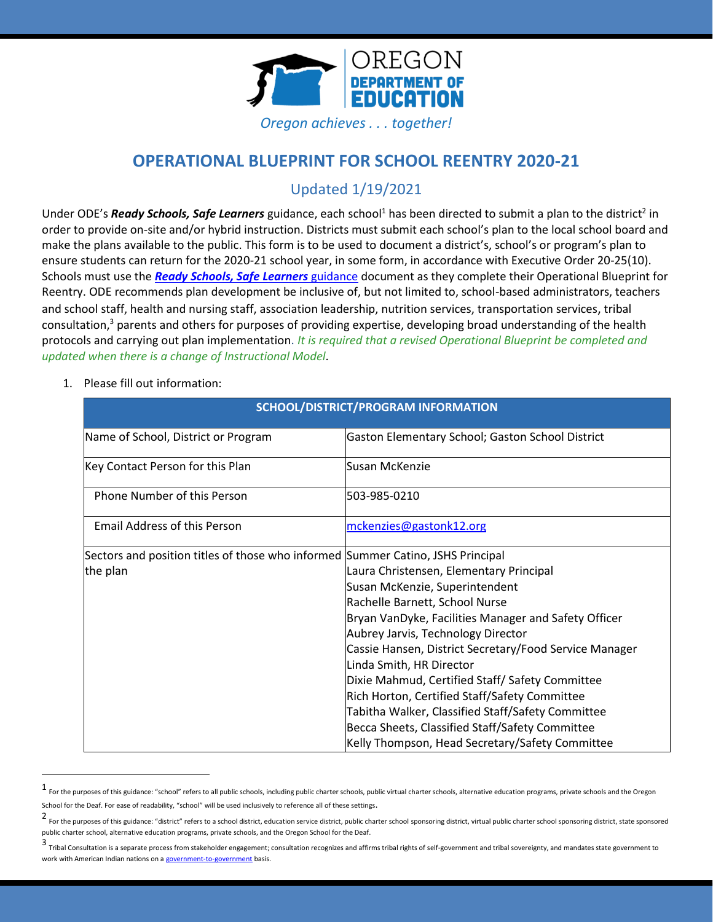

# **OPERATIONAL BLUEPRINT FOR SCHOOL REENTRY 2020-21**

# Updated 1/19/2021

Under ODE's *Ready Schools, Safe Learners* guidance, each school<sup>1</sup> has been directed to submit a plan to the district<sup>2</sup> in order to provide on-site and/or hybrid instruction. Districts must submit each school's plan to the local school board and make the plans available to the public. This form is to be used to document a district's, school's or program's plan to ensure students can return for the 2020-21 school year, in some form, in accordance with Executive Order 20-25(10). Schools must use the *[Ready Schools, Safe Learners](https://www.oregon.gov/ode/students-and-family/healthsafety/Documents/Ready%20Schools%20Safe%20Learners%202020-21%20Guidance.pdf)* [guidance](https://www.oregon.gov/ode/students-and-family/healthsafety/Documents/Ready%20Schools%20Safe%20Learners%202020-21%20Guidance.pdf) document as they complete their Operational Blueprint for Reentry. ODE recommends plan development be inclusive of, but not limited to, school-based administrators, teachers and school staff, health and nursing staff, association leadership, nutrition services, transportation services, tribal consultation, <sup>3</sup> parents and others for purposes of providing expertise, developing broad understanding of the health protocols and carrying out plan implementation. *It is required that a revised Operational Blueprint be completed and updated when there is a change of Instructional Model*.

1. Please fill out information:

| <b>SCHOOL/DISTRICT/PROGRAM INFORMATION</b>                                                                                                                                                                                                                                                                                                                                                                                                                                                                                                                                                                                                        |  |  |
|---------------------------------------------------------------------------------------------------------------------------------------------------------------------------------------------------------------------------------------------------------------------------------------------------------------------------------------------------------------------------------------------------------------------------------------------------------------------------------------------------------------------------------------------------------------------------------------------------------------------------------------------------|--|--|
| Gaston Elementary School; Gaston School District                                                                                                                                                                                                                                                                                                                                                                                                                                                                                                                                                                                                  |  |  |
| Susan McKenzie                                                                                                                                                                                                                                                                                                                                                                                                                                                                                                                                                                                                                                    |  |  |
| 503-985-0210                                                                                                                                                                                                                                                                                                                                                                                                                                                                                                                                                                                                                                      |  |  |
| mckenzies@gastonk12.org                                                                                                                                                                                                                                                                                                                                                                                                                                                                                                                                                                                                                           |  |  |
| Sectors and position titles of those who informed Summer Catino, JSHS Principal<br>Laura Christensen, Elementary Principal<br>Susan McKenzie, Superintendent<br>Rachelle Barnett, School Nurse<br>Bryan VanDyke, Facilities Manager and Safety Officer<br>Aubrey Jarvis, Technology Director<br>Cassie Hansen, District Secretary/Food Service Manager<br>Linda Smith, HR Director<br>Dixie Mahmud, Certified Staff/ Safety Committee<br>Rich Horton, Certified Staff/Safety Committee<br>Tabitha Walker, Classified Staff/Safety Committee<br>Becca Sheets, Classified Staff/Safety Committee<br>Kelly Thompson, Head Secretary/Safety Committee |  |  |
|                                                                                                                                                                                                                                                                                                                                                                                                                                                                                                                                                                                                                                                   |  |  |

<sup>1</sup> For the purposes of this guidance: "school" refers to all public schools, including public charter schools, public virtual charter schools, alternative education programs, private schools and the Oregon School for the Deaf. For ease of readability, "school" will be used inclusively to reference all of these settings.

<sup>2</sup> For the purposes of this guidance: "district" refers to a school district, education service district, public charter school sponsoring district, virtual public charter school sponsoring district, state sponsored public charter school, alternative education programs, private schools, and the Oregon School for the Deaf.

<sup>3</sup> Tribal Consultation is a separate process from stakeholder engagement; consultation recognizes and affirms tribal rights of self-government and tribal sovereignty, and mandates state government to work with American Indian nations on [a government-to-government](http://www.nrc4tribes.org/files/Tab%209_9H%20Oregon%20SB770.pdf) basis.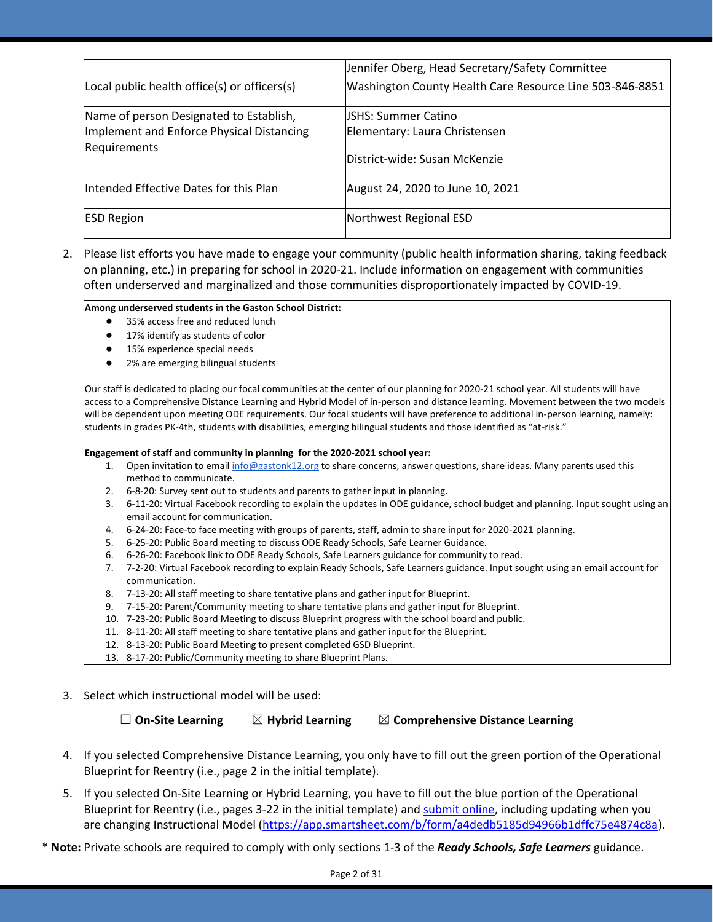|                                              | Jennifer Oberg, Head Secretary/Safety Committee          |
|----------------------------------------------|----------------------------------------------------------|
| Local public health office(s) or officers(s) | Washington County Health Care Resource Line 503-846-8851 |
| Name of person Designated to Establish,      | JSHS: Summer Catino                                      |
| Implement and Enforce Physical Distancing    | Elementary: Laura Christensen                            |
| Requirements                                 | District-wide: Susan McKenzie                            |
| Intended Effective Dates for this Plan       | August 24, 2020 to June 10, 2021                         |
| <b>ESD Region</b>                            | Northwest Regional ESD                                   |

2. Please list efforts you have made to engage your community (public health information sharing, taking feedback on planning, etc.) in preparing for school in 2020-21. Include information on engagement with communities often underserved and marginalized and those communities disproportionately impacted by COVID-19.

### **Among underserved students in the Gaston School District:**

- 35% access free and reduced lunch
- 17% identify as students of color
- 15% experience special needs
- 2% are emerging bilingual students

Our staff is dedicated to placing our focal communities at the center of our planning for 2020-21 school year. All students will have access to a Comprehensive Distance Learning and Hybrid Model of in-person and distance learning. Movement between the two models will be dependent upon meeting ODE requirements. Our focal students will have preference to additional in-person learning, namely: students in grades PK-4th, students with disabilities, emerging bilingual students and those identified as "at-risk."

### **Engagement of staff and community in planning for the 2020-2021 school year:**

- 1. Open invitation to emai[l info@gastonk12.org](mailto:info@gastonk12.org) to share concerns, answer questions, share ideas. Many parents used this method to communicate.
- 2. 6-8-20: Survey sent out to students and parents to gather input in planning.
- 3. 6-11-20: Virtual Facebook recording to explain the updates in ODE guidance, school budget and planning. Input sought using an email account for communication.
- 4. 6-24-20: Face-to face meeting with groups of parents, staff, admin to share input for 2020-2021 planning.
- 5. 6-25-20: Public Board meeting to discuss ODE Ready Schools, Safe Learner Guidance.
- 6. 6-26-20: Facebook link to ODE Ready Schools, Safe Learners guidance for community to read.
- 7. 7-2-20: Virtual Facebook recording to explain Ready Schools, Safe Learners guidance. Input sought using an email account for communication.
- 8. 7-13-20: All staff meeting to share tentative plans and gather input for Blueprint.
- 9. 7-15-20: Parent/Community meeting to share tentative plans and gather input for Blueprint.
- 10. 7-23-20: Public Board Meeting to discuss Blueprint progress with the school board and public.
- 11. 8-11-20: All staff meeting to share tentative plans and gather input for the Blueprint.
- 12. 8-13-20: Public Board Meeting to present completed GSD Blueprint.
- 13. 8-17-20: Public/Community meeting to share Blueprint Plans.
- 3. Select which instructional model will be used:

☐ **On-Site Learning** ☒ **Hybrid Learning** ☒ **Comprehensive Distance Learning**

- 4. If you selected Comprehensive Distance Learning, you only have to fill out the green portion of the Operational Blueprint for Reentry (i.e., page 2 in the initial template).
- 5. If you selected On-Site Learning or Hybrid Learning, you have to fill out the blue portion of the Operational Blueprint for Reentry (i.e., pages 3-22 in the initial template) an[d submit online,](https://app.smartsheet.com/b/form/a4dedb5185d94966b1dffc75e4874c8a) including updating when you are changing Instructional Model [\(https://app.smartsheet.com/b/form/a4dedb5185d94966b1dffc75e4874c8a\)](https://app.smartsheet.com/b/form/a4dedb5185d94966b1dffc75e4874c8a).
- \* **Note:** Private schools are required to comply with only sections 1-3 of the *Ready Schools, Safe Learners* guidance.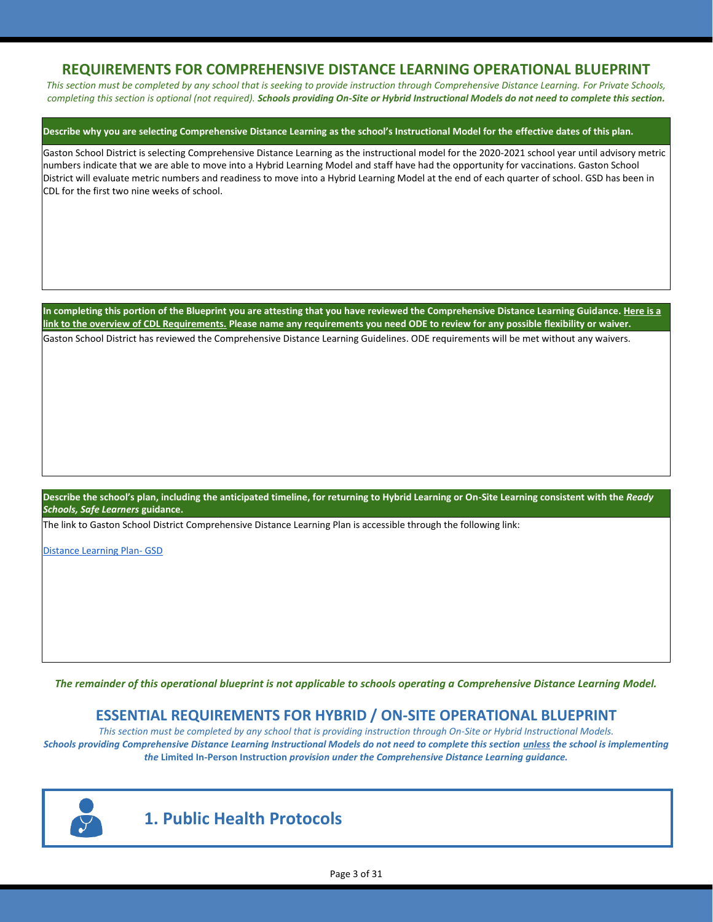## **REQUIREMENTS FOR COMPREHENSIVE DISTANCE LEARNING OPERATIONAL BLUEPRINT**

*This section must be completed by any school that is seeking to provide instruction through Comprehensive Distance Learning. For Private Schools, completing this section is optional (not required). Schools providing On-Site or Hybrid Instructional Models do not need to complete this section.*

### **Describe why you are selecting Comprehensive Distance Learning as the school's Instructional Model for the effective dates of this plan.**

Gaston School District is selecting Comprehensive Distance Learning as the instructional model for the 2020-2021 school year until advisory metric numbers indicate that we are able to move into a Hybrid Learning Model and staff have had the opportunity for vaccinations. Gaston School District will evaluate metric numbers and readiness to move into a Hybrid Learning Model at the end of each quarter of school. GSD has been in CDL for the first two nine weeks of school.

**In completing this portion of the Blueprint you are attesting that you have reviewed the Comprehensive Distance Learning Guidance[. Here is a](https://www.oregon.gov/ode/students-and-family/healthsafety/Documents/Comprehensive%20Distance%20Learning%20Requirements%20Review.pdf)  [link to the overview of CDL Requirements.](https://www.oregon.gov/ode/students-and-family/healthsafety/Documents/Comprehensive%20Distance%20Learning%20Requirements%20Review.pdf) Please name any requirements you need ODE to review for any possible flexibility or waiver.**  Gaston School District has reviewed the Comprehensive Distance Learning Guidelines. ODE requirements will be met without any waivers.

**Describe the school's plan, including the anticipated timeline, for returning to Hybrid Learning or On-Site Learning consistent with the** *Ready Schools, Safe Learners* **guidance.**

The link to Gaston School District Comprehensive Distance Learning Plan is accessible through the following link:

[Distance Learning Plan-](https://docs.google.com/document/d/1APz613b-vkQ9GGD45F1d5rrp5R23UYPgKSkrympkb8Q/edit) GSD

*The remainder of this operational blueprint is not applicable to schools operating a Comprehensive Distance Learning Model.*

## **ESSENTIAL REQUIREMENTS FOR HYBRID / ON-SITE OPERATIONAL BLUEPRINT**

*This section must be completed by any school that is providing instruction through On-Site or Hybrid Instructional Models. Schools providing Comprehensive Distance Learning Instructional Models do not need to complete this section unless the school is implementing the* **Limited In-Person Instruction** *provision under the Comprehensive Distance Learning guidance.*



## **1. Public Health Protocols**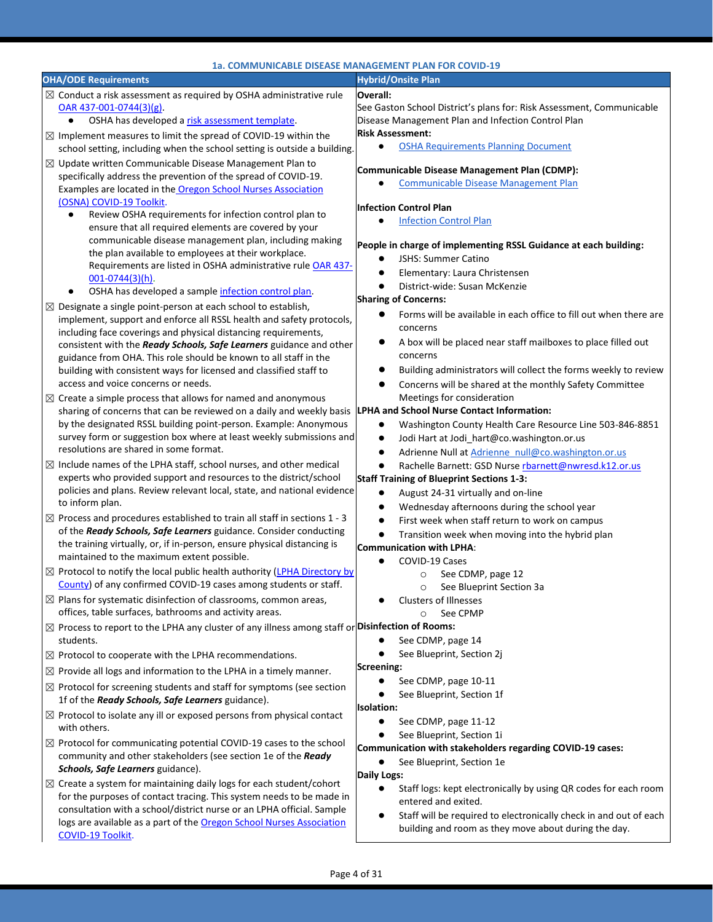| 1a. COMMUNICABLE DISEASE MANAGEMENT PLAN FOR COVID-19                                                                                                           |                                                                                                                                         |  |
|-----------------------------------------------------------------------------------------------------------------------------------------------------------------|-----------------------------------------------------------------------------------------------------------------------------------------|--|
| <b>OHA/ODE Requirements</b>                                                                                                                                     | <b>Hybrid/Onsite Plan</b>                                                                                                               |  |
| $\boxtimes$ Conduct a risk assessment as required by OSHA administrative rule<br>OAR 437-001-0744(3)(g).<br>OSHA has developed a risk assessment template.<br>٠ | Overall:<br>See Gaston School District's plans for: Risk Assessment, Communicable<br>Disease Management Plan and Infection Control Plan |  |
| $\boxtimes$ Implement measures to limit the spread of COVID-19 within the                                                                                       | <b>Risk Assessment:</b>                                                                                                                 |  |
| school setting, including when the school setting is outside a building.                                                                                        | <b>OSHA Requirements Planning Document</b><br>$\bullet$                                                                                 |  |
| $\boxtimes$ Update written Communicable Disease Management Plan to<br>specifically address the prevention of the spread of COVID-19.                            | Communicable Disease Management Plan (CDMP):                                                                                            |  |
| Examples are located in the Oregon School Nurses Association                                                                                                    | <b>Communicable Disease Management Plan</b><br>$\bullet$                                                                                |  |
| (OSNA) COVID-19 Toolkit.                                                                                                                                        | <b>Infection Control Plan</b>                                                                                                           |  |
| Review OSHA requirements for infection control plan to<br>ensure that all required elements are covered by your                                                 | <b>Infection Control Plan</b>                                                                                                           |  |
| communicable disease management plan, including making<br>the plan available to employees at their workplace.                                                   | People in charge of implementing RSSL Guidance at each building:                                                                        |  |
| Requirements are listed in OSHA administrative rule OAR 437-                                                                                                    | JSHS: Summer Catino<br>$\bullet$                                                                                                        |  |
| $001 - 0744(3)(h)$ .                                                                                                                                            | Elementary: Laura Christensen<br>$\bullet$                                                                                              |  |
| OSHA has developed a sample infection control plan.                                                                                                             | District-wide: Susan McKenzie                                                                                                           |  |
| $\boxtimes$ Designate a single point-person at each school to establish,                                                                                        | <b>Sharing of Concerns:</b>                                                                                                             |  |
| implement, support and enforce all RSSL health and safety protocols,<br>including face coverings and physical distancing requirements,                          | Forms will be available in each office to fill out when there are<br>concerns                                                           |  |
| consistent with the Ready Schools, Safe Learners guidance and other<br>guidance from OHA. This role should be known to all staff in the                         | A box will be placed near staff mailboxes to place filled out<br>concerns                                                               |  |
| building with consistent ways for licensed and classified staff to                                                                                              | Building administrators will collect the forms weekly to review<br>$\bullet$                                                            |  |
| access and voice concerns or needs.                                                                                                                             | Concerns will be shared at the monthly Safety Committee<br>$\bullet$                                                                    |  |
| $\boxtimes$ Create a simple process that allows for named and anonymous                                                                                         | Meetings for consideration                                                                                                              |  |
| sharing of concerns that can be reviewed on a daily and weekly basis                                                                                            | <b>LPHA and School Nurse Contact Information:</b>                                                                                       |  |
| by the designated RSSL building point-person. Example: Anonymous                                                                                                | Washington County Health Care Resource Line 503-846-8851<br>٠                                                                           |  |
| survey form or suggestion box where at least weekly submissions and                                                                                             | Jodi Hart at Jodi_hart@co.washington.or.us<br>$\bullet$                                                                                 |  |
| resolutions are shared in some format.                                                                                                                          | Adrienne Null at Adrienne null@co.washington.or.us<br>$\bullet$                                                                         |  |
| $\boxtimes$ Include names of the LPHA staff, school nurses, and other medical<br>experts who provided support and resources to the district/school              | Rachelle Barnett: GSD Nurse rbarnett@nwresd.k12.or.us<br><b>Staff Training of Blueprint Sections 1-3:</b>                               |  |
| policies and plans. Review relevant local, state, and national evidence                                                                                         | August 24-31 virtually and on-line<br>$\bullet$                                                                                         |  |
| to inform plan.                                                                                                                                                 | Wednesday afternoons during the school year<br>$\bullet$                                                                                |  |
| $\boxtimes$ Process and procedures established to train all staff in sections 1 - 3                                                                             | First week when staff return to work on campus<br>$\bullet$                                                                             |  |
| of the Ready Schools, Safe Learners guidance. Consider conducting                                                                                               | Transition week when moving into the hybrid plan<br>$\bullet$                                                                           |  |
| the training virtually, or, if in-person, ensure physical distancing is                                                                                         | Communication with LPHA:                                                                                                                |  |
| maintained to the maximum extent possible.                                                                                                                      | COVID-19 Cases<br>$\bullet$                                                                                                             |  |
| ⊠ Protocol to notify the local public health authority (LPHA Directory by<br>County) of any confirmed COVID-19 cases among students or staff.                   | See CDMP, page 12<br>$\circ$                                                                                                            |  |
|                                                                                                                                                                 | See Blueprint Section 3a<br>O                                                                                                           |  |
| $\boxtimes$ Plans for systematic disinfection of classrooms, common areas,<br>offices, table surfaces, bathrooms and activity areas.                            | <b>Clusters of Illnesses</b><br>See CPMP<br>O                                                                                           |  |
| $\boxtimes$ Process to report to the LPHA any cluster of any illness among staff or Disinfection of Rooms:                                                      |                                                                                                                                         |  |
| students.                                                                                                                                                       | See CDMP, page 14                                                                                                                       |  |
| $\boxtimes$ Protocol to cooperate with the LPHA recommendations.                                                                                                | See Blueprint, Section 2i                                                                                                               |  |
| $\boxtimes$ Provide all logs and information to the LPHA in a timely manner.                                                                                    | Screening:                                                                                                                              |  |
| $\boxtimes$ Protocol for screening students and staff for symptoms (see section                                                                                 | See CDMP, page 10-11<br>$\bullet$                                                                                                       |  |
| 1f of the Ready Schools, Safe Learners guidance).                                                                                                               | See Blueprint, Section 1f<br><b>Isolation:</b>                                                                                          |  |
| $\boxtimes$ Protocol to isolate any ill or exposed persons from physical contact                                                                                | See CDMP, page 11-12<br>$\bullet$                                                                                                       |  |
| with others.                                                                                                                                                    | See Blueprint, Section 1i<br>$\bullet$                                                                                                  |  |
| $\boxtimes$ Protocol for communicating potential COVID-19 cases to the school                                                                                   | Communication with stakeholders regarding COVID-19 cases:                                                                               |  |
| community and other stakeholders (see section 1e of the Ready<br>Schools, Safe Learners guidance).                                                              | See Blueprint, Section 1e<br>$\bullet$                                                                                                  |  |
| $\boxtimes$ Create a system for maintaining daily logs for each student/cohort                                                                                  | Daily Logs:                                                                                                                             |  |
| for the purposes of contact tracing. This system needs to be made in                                                                                            | Staff logs: kept electronically by using QR codes for each room                                                                         |  |
| consultation with a school/district nurse or an LPHA official. Sample                                                                                           | entered and exited.                                                                                                                     |  |
| logs are available as a part of the Oregon School Nurses Association<br>COVID-19 Toolkit.                                                                       | Staff will be required to electronically check in and out of each<br>$\bullet$<br>building and room as they move about during the day.  |  |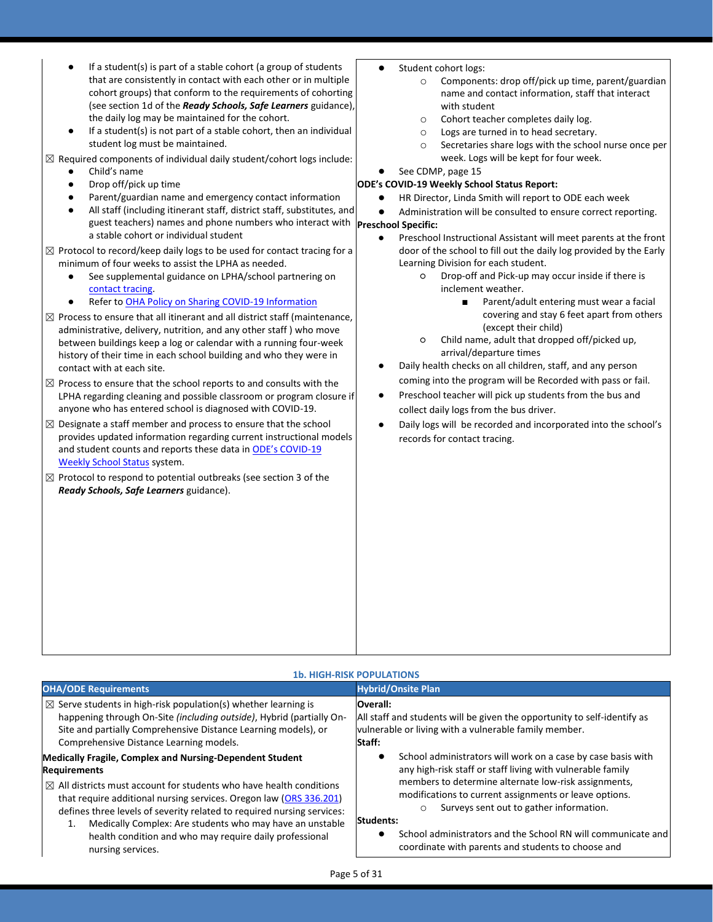- If a student(s) is part of a stable cohort (a group of students that are consistently in contact with each other or in multiple cohort groups) that conform to the requirements of cohorting (see section 1d of the *Ready Schools, Safe Learners* guidance), the daily log may be maintained for the cohort.
- If a student(s) is not part of a stable cohort, then an individual student log must be maintained.
- $\boxtimes$  Required components of individual daily student/cohort logs include:
	- Child's name
	- Drop off/pick up time
	- Parent/guardian name and emergency contact information
	- guest teachers) names and phone numbers who interact with **Preschool Specific:** All staff (including itinerant staff, district staff, substitutes, and a stable cohort or individual student
- $\boxtimes$  Protocol to record/keep daily logs to be used for contact tracing for a minimum of four weeks to assist the LPHA as needed.
	- See supplemental guidance on LPHA/school partnering on [contact tracing.](https://www.oregon.gov/ode/students-and-family/healthsafety/Documents/LPHA%20Capacity%20Needs%20and%20Contact%20Tracing.pdf)
	- Refer to [OHA Policy on Sharing COVID-19 Information](https://www.oregon.gov/ode/students-and-family/healthsafety/Documents/Sharing%20COVID%20Information%20with%20Schools.pdf)
- $\boxtimes$  Process to ensure that all itinerant and all district staff (maintenance, administrative, delivery, nutrition, and any other staff ) who move between buildings keep a log or calendar with a running four-week history of their time in each school building and who they were in contact with at each site.
- $\boxtimes$  Process to ensure that the school reports to and consults with the LPHA regarding cleaning and possible classroom or program closure if anyone who has entered school is diagnosed with COVID-19.
- $\boxtimes$  Designate a staff member and process to ensure that the school provides updated information regarding current instructional models and student counts and reports these data in [ODE's COVID](https://www.oregon.gov/ode/students-and-family/healthsafety/Pages/2020-21-School-Status.aspx)-19 [Weekly School Status](https://www.oregon.gov/ode/students-and-family/healthsafety/Pages/2020-21-School-Status.aspx) system.
- $\boxtimes$  Protocol to respond to potential outbreaks (see section 3 of the *Ready Schools, Safe Learners* guidance).
- Student cohort logs:
	- o Components: drop off/pick up time, parent/guardian name and contact information, staff that interact with student
	- o Cohort teacher completes daily log.
	- o Logs are turned in to head secretary.
	- o Secretaries share logs with the school nurse once per week. Logs will be kept for four week.
- See CDMP, page 15
- **ODE's COVID-19 Weekly School Status Report:**
	- HR Director, Linda Smith will report to ODE each week
	- Administration will be consulted to ensure correct reporting.
		- Preschool Instructional Assistant will meet parents at the front door of the school to fill out the daily log provided by the Early Learning Division for each student.
			- Drop-off and Pick-up may occur inside if there is inclement weather.
				- Parent/adult entering must wear a facial covering and stay 6 feet apart from others (except their child)
			- Child name, adult that dropped off/picked up, arrival/departure times
		- Daily health checks on all children, staff, and any person coming into the program will be Recorded with pass or fail.
	- Preschool teacher will pick up students from the bus and collect daily logs from the bus driver.
	- Daily logs will be recorded and incorporated into the school's records for contact tracing.

### **1b. HIGH-RISK POPULATIONS OHA/ODE Requirements All and Security Construction Construction Construction Construction Construction Construction**  $\boxtimes$  Serve students in high-risk population(s) whether learning is happening through On-Site *(including outside)*, Hybrid (partially On-Site and partially Comprehensive Distance Learning models), or Comprehensive Distance Learning models. **Overall:** All staff and students will be given the opportunity to self-identify as vulnerable or living with a vulnerable family member. **Staff:** School administrators will work on a case by case basis with any high-risk staff or staff living with vulnerable family members to determine alternate low-risk assignments, modifications to current assignments or leave options. o Surveys sent out to gather information. **Students:** School administrators and the School RN will communicate and coordinate with parents and students to choose and **Medically Fragile, Complex and Nursing-Dependent Student Requirements**  $\boxtimes$  All districts must account for students who have health conditions that require additional nursing services. Oregon law [\(ORS 336.201\)](https://www.oregonlaws.org/ors/336.201) defines three levels of severity related to required nursing services: 1. Medically Complex: Are students who may have an unstable health condition and who may require daily professional nursing services.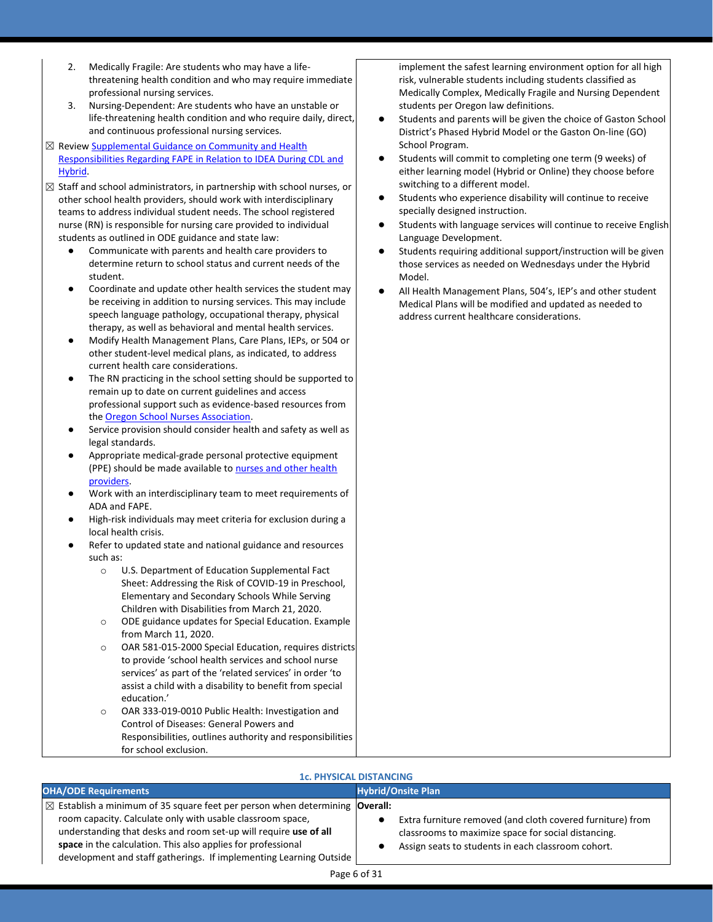- 2. Medically Fragile: Are students who may have a lifethreatening health condition and who may require immediate professional nursing services.
- 3. Nursing-Dependent: Are students who have an unstable or life-threatening health condition and who require daily, direct, and continuous professional nursing services.
- ⊠ Revie[w Supplemental Guidance on Community and](https://www.oregon.gov/ode/students-and-family/healthsafety/Documents/Community%20and%20School%20Health%20Responsibilities%20Regarding%20FAPE%20during%20CDL%20and%20Hybrid%20Instructional%20Models.pdf) Health [Responsibilities Regarding FAPE in Relation to IDEA During CDL and](https://www.oregon.gov/ode/students-and-family/healthsafety/Documents/Community%20and%20School%20Health%20Responsibilities%20Regarding%20FAPE%20during%20CDL%20and%20Hybrid%20Instructional%20Models.pdf)  [Hybrid.](https://www.oregon.gov/ode/students-and-family/healthsafety/Documents/Community%20and%20School%20Health%20Responsibilities%20Regarding%20FAPE%20during%20CDL%20and%20Hybrid%20Instructional%20Models.pdf)
- $\boxtimes$  Staff and school administrators, in partnership with school nurses, or other school health providers, should work with interdisciplinary teams to address individual student needs. The school registered nurse (RN) is responsible for nursing care provided to individual students as outlined in ODE guidance and state law:
	- Communicate with parents and health care providers to determine return to school status and current needs of the student.
	- Coordinate and update other health services the student may be receiving in addition to nursing services. This may include speech language pathology, occupational therapy, physical therapy, as well as behavioral and mental health services.
	- Modify Health Management Plans, Care Plans, IEPs, or 504 or other student-level medical plans, as indicated, to address current health care considerations.
	- The RN practicing in the school setting should be supported to remain up to date on current guidelines and access professional support such as evidence-based resources from th[e Oregon School Nurses Association.](https://www.oregonschoolnurses.org/resources/covid-19-toolkit)
	- Service provision should consider health and safety as well as legal standards.
	- Appropriate medical-grade personal protective equipment (PPE) should be made available to nurses and other health [providers.](https://www.oregon.gov/ode/students-and-family/healthsafety/Documents/Additional%20Considerations%20for%20Staff%20Working%20with%20Students%20with%20Complex%20Needs.pdf)
	- Work with an interdisciplinary team to meet requirements of ADA and FAPE.
	- High-risk individuals may meet criteria for exclusion during a local health crisis.
	- Refer to updated state and national guidance and resources such as:
		- o U.S. Department of Education Supplemental Fact Sheet: Addressing the Risk of COVID-19 in Preschool, Elementary and Secondary Schools While Serving Children with Disabilities from March 21, 2020.
		- o ODE guidance updates for Special Education. Example from March 11, 2020.
		- o OAR 581-015-2000 Special Education, requires districts to provide 'school health services and school nurse services' as part of the 'related services' in order 'to assist a child with a disability to benefit from special education.'
		- o OAR 333-019-0010 Public Health: Investigation and Control of Diseases: General Powers and Responsibilities, outlines authority and responsibilities for school exclusion.

implement the safest learning environment option for all high risk, vulnerable students including students classified as Medically Complex, Medically Fragile and Nursing Dependent students per Oregon law definitions.

- Students and parents will be given the choice of Gaston School District's Phased Hybrid Model or the Gaston On-line (GO) School Program.
- Students will commit to completing one term (9 weeks) of either learning model (Hybrid or Online) they choose before switching to a different model.
- Students who experience disability will continue to receive specially designed instruction.
- Students with language services will continue to receive English Language Development.
- Students requiring additional support/instruction will be given those services as needed on Wednesdays under the Hybrid Model.
- All Health Management Plans, 504's, IEP's and other student Medical Plans will be modified and updated as needed to address current healthcare considerations.

### **1c. PHYSICAL DISTANCING**

| <b>OHA/ODE Requirements</b>                                                                                                                                                                                                                                                                                                                                           | <b>Hybrid/Onsite Plan</b>                                                                                                                                               |
|-----------------------------------------------------------------------------------------------------------------------------------------------------------------------------------------------------------------------------------------------------------------------------------------------------------------------------------------------------------------------|-------------------------------------------------------------------------------------------------------------------------------------------------------------------------|
| $\boxtimes$ Establish a minimum of 35 square feet per person when determining <b>Overall:</b><br>room capacity. Calculate only with usable classroom space,<br>understanding that desks and room set-up will require use of all<br>space in the calculation. This also applies for professional<br>development and staff gatherings. If implementing Learning Outside | Extra furniture removed (and cloth covered furniture) from<br>classrooms to maximize space for social distancing.<br>Assign seats to students in each classroom cohort. |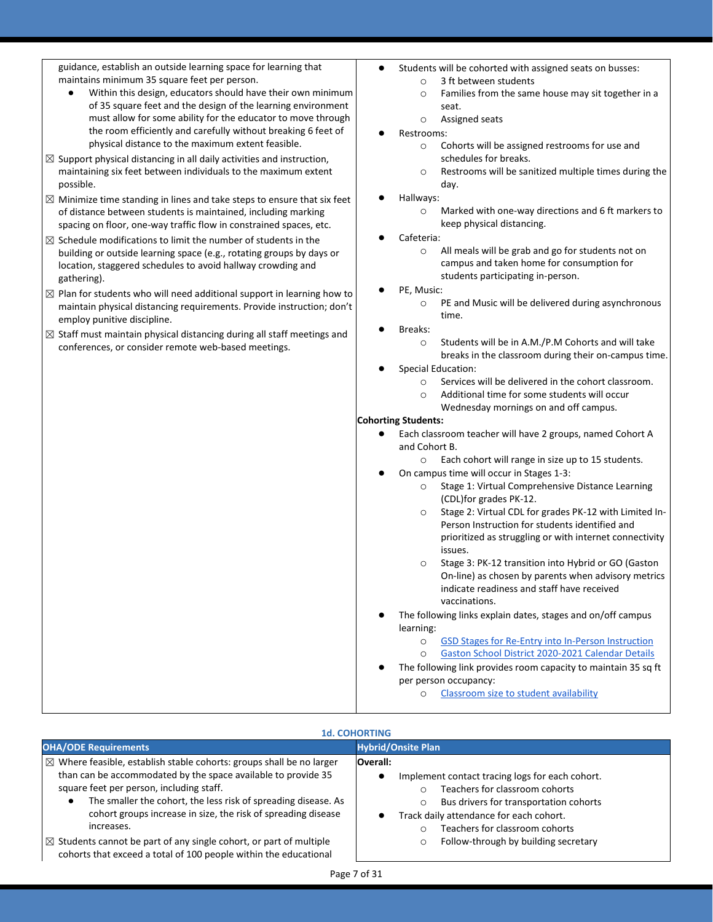guidance, establish an outside learning space for learning that maintains minimum 35 square feet per person.

- Within this design, educators should have their own minimum of 35 square feet and the design of the learning environment must allow for some ability for the educator to move through the room efficiently and carefully without breaking 6 feet of physical distance to the maximum extent feasible.
- $\boxtimes$  Support physical distancing in all daily activities and instruction, maintaining six feet between individuals to the maximum extent possible.
- $\boxtimes$  Minimize time standing in lines and take steps to ensure that six feet of distance between students is maintained, including marking spacing on floor, one-way traffic flow in constrained spaces, etc.
- $\boxtimes$  Schedule modifications to limit the number of students in the building or outside learning space (e.g., rotating groups by days or location, staggered schedules to avoid hallway crowding and gathering).
- $\boxtimes$  Plan for students who will need additional support in learning how to maintain physical distancing requirements. Provide instruction; don't employ punitive discipline.
- $\boxtimes$  Staff must maintain physical distancing during all staff meetings and conferences, or consider remote web-based meetings.
- Students will be cohorted with assigned seats on busses:
	- o 3 ft between students
		- o Families from the same house may sit together in a seat.
	- o Assigned seats
- Restrooms:
	- o Cohorts will be assigned restrooms for use and schedules for breaks.
	- o Restrooms will be sanitized multiple times during the day.
- Hallways:
	- o Marked with one-way directions and 6 ft markers to keep physical distancing.
- Cafeteria:
	- o All meals will be grab and go for students not on campus and taken home for consumption for students participating in-person.
- PE, Music:
	- o PE and Music will be delivered during asynchronous time.
- Breaks:
	- o Students will be in A.M./P.M Cohorts and will take breaks in the classroom during their on-campus time.
- Special Education:
	- o Services will be delivered in the cohort classroom.
	- o Additional time for some students will occur
	- Wednesday mornings on and off campus.

### **Cohorting Students:**

- Each classroom teacher will have 2 groups, named Cohort A and Cohort B.
	- o Each cohort will range in size up to 15 students.
- On campus time will occur in Stages 1-3:
	- o Stage 1: Virtual Comprehensive Distance Learning (CDL)for grades PK-12.
	- o Stage 2: Virtual CDL for grades PK-12 with Limited In-Person Instruction for students identified and prioritized as struggling or with internet connectivity issues.
	- o Stage 3: PK-12 transition into Hybrid or GO (Gaston On-line) as chosen by parents when advisory metrics indicate readiness and staff have received vaccinations.
- The following links explain dates, stages and on/off campus learning:
	- o [GSD Stages for Re-Entry into In-Person Instruction](https://docs.google.com/document/d/1HUSSZmhQU-CtITAzEjbwILGVgq41wQUO8GIfPDwQ3z0/edit?usp=sharing)
	- o [Gaston School District 2020-2021 Calendar Details](https://docs.google.com/document/d/1q2GYzJ0hHaaV_FV9g7-rd_98JxiM-T7ADFUFqhpJt04/edit)
- The following link provides room capacity to maintain 35 sq ft per person occupancy:
	- [Classroom size to student availability](https://docs.google.com/spreadsheets/d/1YtAMS1rLw6An36kJ1II8MlYTk_5J85BssqUf-tIbDG0/edit?ts=5ec6b8e0#gid=0)

| <b>1d. COHORTING</b>                                                                                                                                                                                                                                                                                                                                                                                                                                                                                            |                                                                                                                                                                                                                                                                          |
|-----------------------------------------------------------------------------------------------------------------------------------------------------------------------------------------------------------------------------------------------------------------------------------------------------------------------------------------------------------------------------------------------------------------------------------------------------------------------------------------------------------------|--------------------------------------------------------------------------------------------------------------------------------------------------------------------------------------------------------------------------------------------------------------------------|
| <b>OHA/ODE Requirements</b>                                                                                                                                                                                                                                                                                                                                                                                                                                                                                     | <b>Hybrid/Onsite Plan</b>                                                                                                                                                                                                                                                |
| $\boxtimes$ Where feasible, establish stable cohorts: groups shall be no larger<br>than can be accommodated by the space available to provide 35<br>square feet per person, including staff.<br>The smaller the cohort, the less risk of spreading disease. As<br>$\bullet$<br>cohort groups increase in size, the risk of spreading disease<br>increases.<br>$\boxtimes$ Students cannot be part of any single cohort, or part of multiple<br>cohorts that exceed a total of 100 people within the educational | <b>Overall:</b><br>Implement contact tracing logs for each cohort.<br>Teachers for classroom cohorts<br>Bus drivers for transportation cohorts<br>O<br>Track daily attendance for each cohort.<br>Teachers for classroom cohorts<br>Follow-through by building secretary |

### Page 7 of 31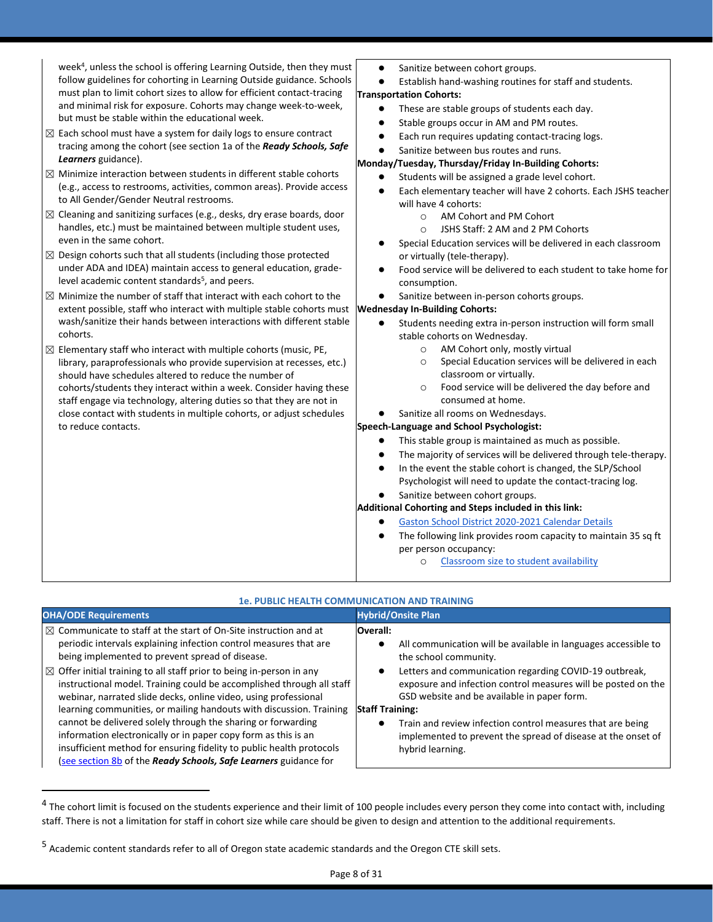week<sup>4</sup> , unless the school is offering Learning Outside, then they must follow guidelines for cohorting in Learning Outside guidance. Schools must plan to limit cohort sizes to allow for efficient contact-tracing and minimal risk for exposure. Cohorts may change week-to-week, but must be stable within the educational week.

- $\boxtimes$  Each school must have a system for daily logs to ensure contract tracing among the cohort (see section 1a of the *Ready Schools, Safe Learners* guidance).
- $\boxtimes$  Minimize interaction between students in different stable cohorts (e.g., access to restrooms, activities, common areas). Provide access to All Gender/Gender Neutral restrooms.
- $\boxtimes$  Cleaning and sanitizing surfaces (e.g., desks, dry erase boards, door handles, etc.) must be maintained between multiple student uses, even in the same cohort.
- $\boxtimes$  Design cohorts such that all students (including those protected under ADA and IDEA) maintain access to general education, gradelevel academic content standards<sup>5</sup>, and peers.
- $\boxtimes$  Minimize the number of staff that interact with each cohort to the extent possible, staff who interact with multiple stable cohorts must wash/sanitize their hands between interactions with different stable cohorts.
- $\boxtimes$  Elementary staff who interact with multiple cohorts (music, PE, library, paraprofessionals who provide supervision at recesses, etc.) should have schedules altered to reduce the number of cohorts/students they interact within a week. Consider having these staff engage via technology, altering duties so that they are not in close contact with students in multiple cohorts, or adjust schedules to reduce contacts.
- Sanitize between cohort groups.
- Establish hand-washing routines for staff and students. **Transportation Cohorts:**
	- These are stable groups of students each day.
	- Stable groups occur in AM and PM routes.
	- Each run requires updating contact-tracing logs.
	- Sanitize between bus routes and runs.

### **Monday/Tuesday, Thursday/Friday In-Building Cohorts:**

- Students will be assigned a grade level cohort.
- Each elementary teacher will have 2 cohorts. Each JSHS teacher will have 4 cohorts:
	- o AM Cohort and PM Cohort
	- o JSHS Staff: 2 AM and 2 PM Cohorts
- Special Education services will be delivered in each classroom or virtually (tele-therapy).
- Food service will be delivered to each student to take home for consumption.
- Sanitize between in-person cohorts groups.

### **Wednesday In-Building Cohorts:**

- Students needing extra in-person instruction will form small stable cohorts on Wednesday.
	- o AM Cohort only, mostly virtual
	- o Special Education services will be delivered in each classroom or virtually.
	- o Food service will be delivered the day before and consumed at home.
- Sanitize all rooms on Wednesdays.

### **Speech-Language and School Psychologist:**

- This stable group is maintained as much as possible.
- The majority of services will be delivered through tele-therapy.
- In the event the stable cohort is changed, the SLP/School Psychologist will need to update the contact-tracing log.
- Sanitize between cohort groups.

### **Additional Cohorting and Steps included in this link:**

- **[Gaston School District 2020-2021 Calendar Details](https://docs.google.com/document/d/1q2GYzJ0hHaaV_FV9g7-rd_98JxiM-T7ADFUFqhpJt04/edit)**
- The following link provides room capacity to maintain 35 sq ft per person occupancy:
	- o [Classroom size to student availability](https://docs.google.com/spreadsheets/d/1YtAMS1rLw6An36kJ1II8MlYTk_5J85BssqUf-tIbDG0/edit?ts=5ec6b8e0#gid=0)

| 1e. PUBLIC HEALTH COMMUNICATION AND TRA                                                                                                                                                                                                                                                                                                                                                                                                                                                                                                                                                                                                                                                                                                                                                 |                                                                                                                                                                                                                                                                                                                                                                                                                                                           |  |
|-----------------------------------------------------------------------------------------------------------------------------------------------------------------------------------------------------------------------------------------------------------------------------------------------------------------------------------------------------------------------------------------------------------------------------------------------------------------------------------------------------------------------------------------------------------------------------------------------------------------------------------------------------------------------------------------------------------------------------------------------------------------------------------------|-----------------------------------------------------------------------------------------------------------------------------------------------------------------------------------------------------------------------------------------------------------------------------------------------------------------------------------------------------------------------------------------------------------------------------------------------------------|--|
| <b>OHA/ODE Requirements</b>                                                                                                                                                                                                                                                                                                                                                                                                                                                                                                                                                                                                                                                                                                                                                             | <b>Hybrid/Onsite Plan</b>                                                                                                                                                                                                                                                                                                                                                                                                                                 |  |
| $\boxtimes$ Communicate to staff at the start of On-Site instruction and at<br>periodic intervals explaining infection control measures that are<br>being implemented to prevent spread of disease.<br>$\boxtimes$ Offer initial training to all staff prior to being in-person in any<br>instructional model. Training could be accomplished through all staff<br>webinar, narrated slide decks, online video, using professional<br>learning communities, or mailing handouts with discussion. Training<br>cannot be delivered solely through the sharing or forwarding<br>information electronically or in paper copy form as this is an<br>insufficient method for ensuring fidelity to public health protocols<br>(see section 8b of the Ready Schools, Safe Learners guidance for | Overall:<br>All communication will be available in languages accessible to<br>the school community.<br>Letters and communication regarding COVID-19 outbreak,<br>exposure and infection control measures will be posted on the<br>GSD website and be available in paper form.<br><b>Staff Training:</b><br>Train and review infection control measures that are being<br>implemented to prevent the spread of disease at the onset of<br>hybrid learning. |  |

 $^4$  The cohort limit is focused on the students experience and their limit of 100 people includes every person they come into contact with, including staff. There is not a limitation for staff in cohort size while care should be given to design and attention to the additional requirements.

<sup>&</sup>lt;sup>5</sup> Academic content standards refer to all of Oregon state academic standards and the Oregon CTE skill sets.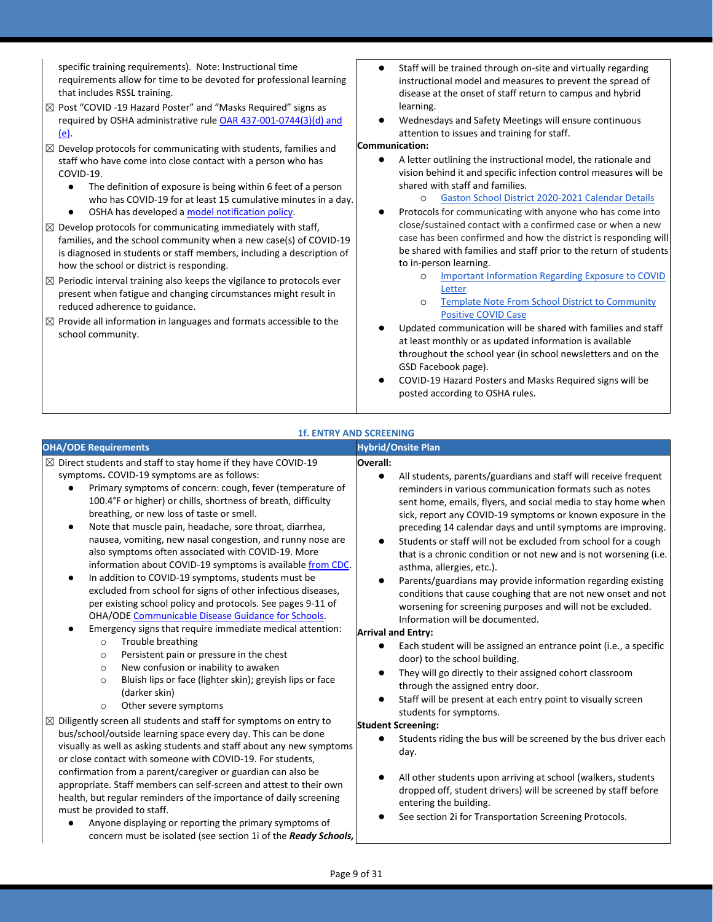specific training requirements). Note: Instructional time requirements allow for time to be devoted for professional learning that includes RSSL training.

- ☒ Post "COVID -19 Hazard Poster" and "Masks Required" signs as required by OSHA administrative rul[e OAR 437-001-0744\(3\)\(d\) and](https://secure.sos.state.or.us/oard/viewSingleRule.action?ruleVrsnRsn=274961)   $(e)$
- $\boxtimes$  Develop protocols for communicating with students, families and staff who have come into close contact with a person who has COVID-19.
	- The definition of exposure is being within 6 feet of a person who has COVID-19 for at least 15 cumulative minutes in a day.
	- OSHA has developed [a model notification policy.](https://osha.oregon.gov/Documents/Model-COVID-19-Notification-Policy.docx)
- $\boxtimes$  Develop protocols for communicating immediately with staff, families, and the school community when a new case(s) of COVID-19 is diagnosed in students or staff members, including a description of how the school or district is responding.
- $\boxtimes$  Periodic interval training also keeps the vigilance to protocols ever present when fatigue and changing circumstances might result in reduced adherence to guidance.
- $\boxtimes$  Provide all information in languages and formats accessible to the school community.
- Staff will be trained through on-site and virtually regarding instructional model and measures to prevent the spread of disease at the onset of staff return to campus and hybrid learning.
- Wednesdays and Safety Meetings will ensure continuous attention to issues and training for staff.

### **Communication:**

- A letter outlining the instructional model, the rationale and vision behind it and specific infection control measures will be shared with staff and families.
	- o [Gaston School District 2020-2021 Calendar Details](https://docs.google.com/document/d/1q2GYzJ0hHaaV_FV9g7-rd_98JxiM-T7ADFUFqhpJt04/edit)
- Protocols for communicating with anyone who has come into close/sustained contact with a confirmed case or when a new case has been confirmed and how the district is responding will be shared with families and staff prior to the return of students to in-person learning.
	- o [Important Information Regarding Exposure to COVID](https://drive.google.com/file/d/1nzAHwerg0YWaA_wgJYA0AXLGpMpw0Bv6/view?usp=sharing)  [Letter](https://drive.google.com/file/d/1nzAHwerg0YWaA_wgJYA0AXLGpMpw0Bv6/view?usp=sharing)
	- o [Template Note From School District to Community](https://drive.google.com/file/d/1PieNuWp_susqozmNIBHIuI1jh5FWHCMW/view?usp=sharing)  [Positive COVID Case](https://drive.google.com/file/d/1PieNuWp_susqozmNIBHIuI1jh5FWHCMW/view?usp=sharing)
- Updated communication will be shared with families and staff at least monthly or as updated information is available throughout the school year (in school newsletters and on the GSD Facebook page).
- COVID-19 Hazard Posters and Masks Required signs will be posted according to OSHA rules.

### **1f. ENTRY AND SCREENING**

### **OHA/ODE Requirements Hybrid/Onsite Plan**  $\boxtimes$  Direct students and staff to stay home if they have COVID-19 symptoms**.** COVID-19 symptoms are as follows: Primary symptoms of concern: cough, fever (temperature of 100.4°F or higher) or chills, shortness of breath, difficulty breathing, or new loss of taste or smell. Note that muscle pain, headache, sore throat, diarrhea, nausea, vomiting, new nasal congestion, and runny nose are also symptoms often associated with COVID-19. More information about COVID-19 symptoms is available [from CDC.](https://www.cdc.gov/coronavirus/2019-ncov/symptoms-testing/symptoms.html) In addition to COVID-19 symptoms, students must be excluded from school for signs of other infectious diseases, per existing school policy and protocols. See pages 9-11 of OHA/OD[E Communicable Disease Guidance for Schools.](https://www.oregon.gov/ode/students-and-family/healthsafety/documents/commdisease.pdf) Emergency signs that require immediate medical attention: o Trouble breathing o Persistent pain or pressure in the chest o New confusion or inability to awaken o Bluish lips or face (lighter skin); greyish lips or face (darker skin) o Other severe symptoms **Overall:** All students, parents/guardians and staff will receive frequent reminders in various communication formats such as notes sent home, emails, flyers, and social media to stay home when sick, report any COVID-19 symptoms or known exposure in the preceding 14 calendar days and until symptoms are improving. Students or staff will not be excluded from school for a cough that is a chronic condition or not new and is not worsening (i.e. asthma, allergies, etc.). Parents/guardians may provide information regarding existing conditions that cause coughing that are not new onset and not worsening for screening purposes and will not be excluded. Information will be documented. **Arrival and Entry:** Each student will be assigned an entrance point (i.e., a specific door) to the school building. They will go directly to their assigned cohort classroom through the assigned entry door. Staff will be present at each entry point to visually screen students for symptoms. **Student Screening:** Students riding the bus will be screened by the bus driver each day. All other students upon arriving at school (walkers, students dropped off, student drivers) will be screened by staff before entering the building. See section 2i for Transportation Screening Protocols.  $\boxtimes$  Diligently screen all students and staff for symptoms on entry to bus/school/outside learning space every day. This can be done visually as well as asking students and staff about any new symptoms or close contact with someone with COVID-19. For students, confirmation from a parent/caregiver or guardian can also be appropriate. Staff members can self-screen and attest to their own health, but regular reminders of the importance of daily screening must be provided to staff. Anyone displaying or reporting the primary symptoms of concern must be isolated (see section 1i of the *Ready Schools,*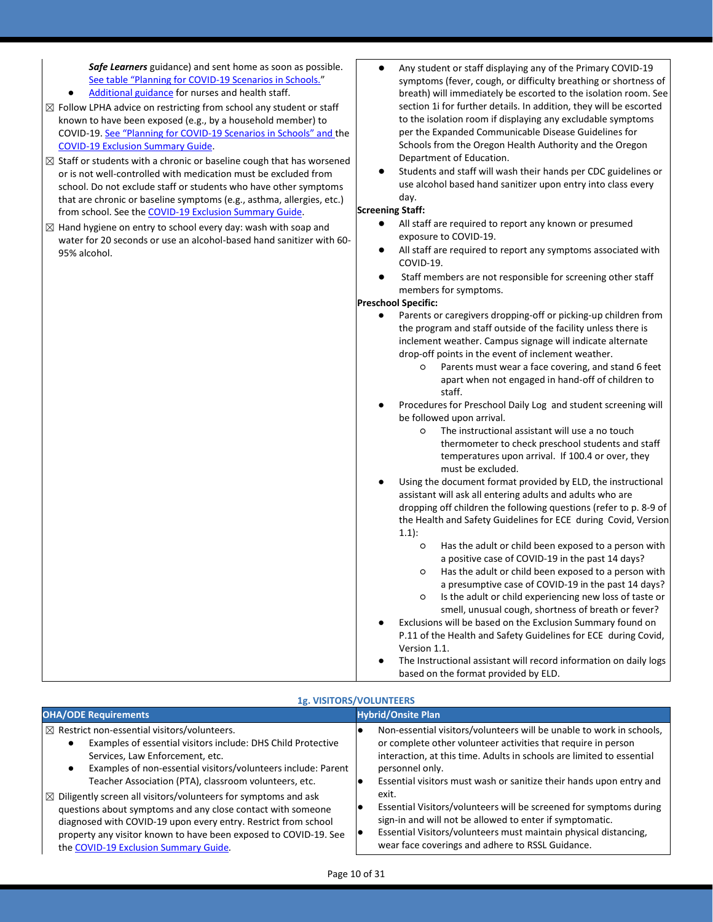*Safe Learners* guidance) and sent home as soon as possible. [See table "Planning for COVID](https://www.oregon.gov/ode/students-and-family/healthsafety/Documents/Planning%20and%20Responding%20to%20COVID-19%20Scenarios%20in%20Schools.pdf)-19 Scenarios in Schools."

- [Additional guidance](https://www.oregon.gov/ode/students-and-family/healthsafety/Documents/Additional%20Considerations%20for%20Staff%20Working%20with%20Students%20with%20Complex%20Needs.pdf) for nurses and health staff.
- $\boxtimes$  Follow LPHA advice on restricting from school any student or staff known to have been exposed (e.g., by a household member) to COVID-19. See "Planning for COVID-[19 Scenarios in Schools" and](https://www.oregon.gov/ode/students-and-family/healthsafety/Documents/Planning%20and%20Responding%20to%20COVID-19%20Scenarios%20in%20Schools.pdf) the [COVID-19 Exclusion Summary Guide.](https://www.oregon.gov/ode/students-and-family/healthsafety/Documents/COVID-19%20Exclusion%20Summary%20Chart.pdf)
- $\boxtimes$  Staff or students with a chronic or baseline cough that has worsened or is not well-controlled with medication must be excluded from school. Do not exclude staff or students who have other symptoms that are chronic or baseline symptoms (e.g., asthma, allergies, etc.) from school. See th[e COVID-19 Exclusion Summary Guide.](https://www.oregon.gov/ode/students-and-family/healthsafety/Documents/COVID-19%20Exclusion%20Summary%20Chart.pdf)
- $\boxtimes$  Hand hygiene on entry to school every day: wash with soap and water for 20 seconds or use an alcohol-based hand sanitizer with 60- 95% alcohol.
- Any student or staff displaying any of the Primary COVID-19 symptoms (fever, cough, or difficulty breathing or shortness of breath) will immediately be escorted to the isolation room. See section 1i for further details. In addition, they will be escorted to the isolation room if displaying any excludable symptoms per the Expanded Communicable Disease Guidelines for Schools from the Oregon Health Authority and the Oregon Department of Education.
- Students and staff will wash their hands per CDC guidelines or use alcohol based hand sanitizer upon entry into class every day.

### **Screening Staff:**

- All staff are required to report any known or presumed exposure to COVID-19.
- All staff are required to report any symptoms associated with COVID-19.
- Staff members are not responsible for screening other staff members for symptoms.

### **Preschool Specific:**

- Parents or caregivers dropping-off or picking-up children from the program and staff outside of the facility unless there is inclement weather. Campus signage will indicate alternate drop-off points in the event of inclement weather.
	- Parents must wear a face covering, and stand 6 feet apart when not engaged in hand-off of children to staff.
- Procedures for Preschool Daily Log and student screening will be followed upon arrival.
	- The instructional assistant will use a no touch thermometer to check preschool students and staff temperatures upon arrival. If 100.4 or over, they must be excluded.
- Using the document format provided by ELD, the instructional assistant will ask all entering adults and adults who are dropping off children the following questions (refer to p. 8-9 of the Health and Safety Guidelines for ECE during Covid, Version 1.1):
	- Has the adult or child been exposed to a person with a positive case of COVID-19 in the past 14 days?
	- Has the adult or child been exposed to a person with a presumptive case of COVID-19 in the past 14 days?
	- Is the adult or child experiencing new loss of taste or smell, unusual cough, shortness of breath or fever?
- Exclusions will be based on the Exclusion Summary found on P.11 of the Health and Safety Guidelines for ECE during Covid, Version 1.1.
- The Instructional assistant will record information on daily logs based on the format provided by ELD.

### **1g. VISITORS/VOLUNTEERS**

| <b>OHA/ODE Requirements</b>                                                | <b>Hybrid/Onsite Plan</b>                                             |
|----------------------------------------------------------------------------|-----------------------------------------------------------------------|
| $\boxtimes$ Restrict non-essential visitors/volunteers.                    | Non-essential visitors/volunteers will be unable to work in schools,  |
| Examples of essential visitors include: DHS Child Protective               | or complete other volunteer activities that require in person         |
| Services, Law Enforcement, etc.                                            | interaction, at this time. Adults in schools are limited to essential |
| Examples of non-essential visitors/volunteers include: Parent              | personnel only.                                                       |
| Teacher Association (PTA), classroom volunteers, etc.                      | Essential visitors must wash or sanitize their hands upon entry and   |
| $\boxtimes$ Diligently screen all visitors/volunteers for symptoms and ask | exit.                                                                 |
| questions about symptoms and any close contact with someone                | Essential Visitors/volunteers will be screened for symptoms during    |
| diagnosed with COVID-19 upon every entry. Restrict from school             | sign-in and will not be allowed to enter if symptomatic.              |
| property any visitor known to have been exposed to COVID-19. See           | Essential Visitors/volunteers must maintain physical distancing,      |
| the COVID-19 Exclusion Summary Guide.                                      | wear face coverings and adhere to RSSL Guidance.                      |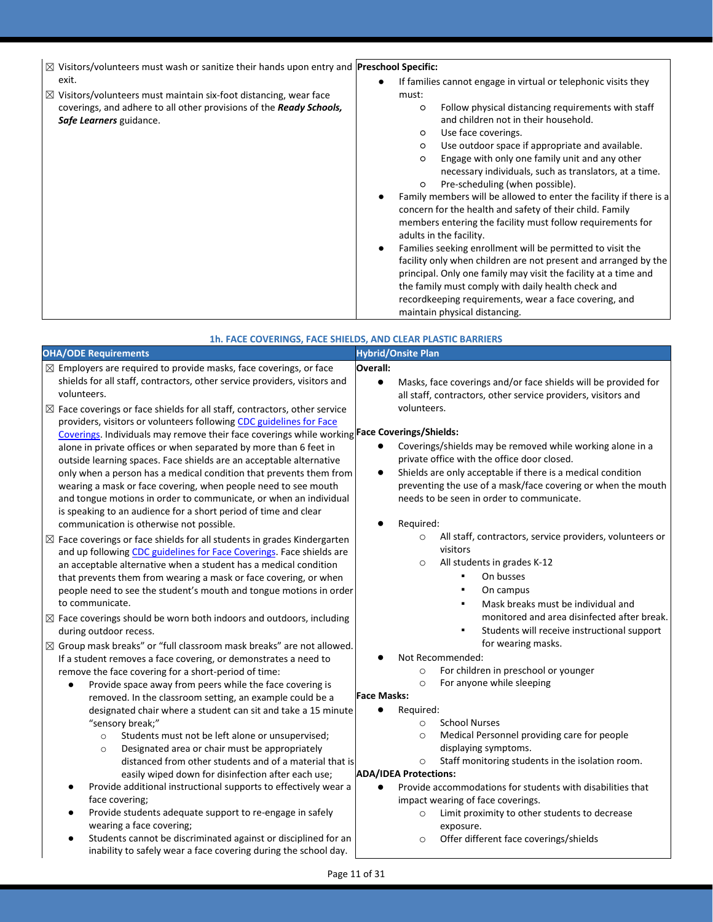| $\boxtimes$ Visitors/volunteers must wash or sanitize their hands upon entry and Preschool Specific: |               |
|------------------------------------------------------------------------------------------------------|---------------|
| exit.                                                                                                | If families o |

 $\boxtimes$  Visitors/volunteers must maintain six-foot distancing, wear face coverings, and adhere to all other provisions of the *Ready Schools, Safe Learners* guidance.

### cannot engage in virtual or telephonic visits they must:

- Follow physical distancing requirements with staff and children not in their household.
- Use face coverings.
- Use outdoor space if appropriate and available.
- Engage with only one family unit and any other necessary individuals, such as translators, at a time.
- Pre-scheduling (when possible). Family members will be allowed to enter the facility if there is a concern for the health and safety of their child. Family members entering the facility must follow requirements for
- adults in the facility. ● Families seeking enrollment will be permitted to visit the facility only when children are not present and arranged by the principal. Only one family may visit the facility at a time and the family must comply with daily health check and recordkeeping requirements, wear a face covering, and maintain physical distancing.

|                                                                                                                                                                                                                                                                                                                                                                                                                                                                                                                                                                                                                                                                                                                                                                                                                                                                                                                                                                                                                                                                                                                                                                                                                                                                                                                                                                                                                                                                                                                                                                                                                                                                                            | 1h. FACE COVERINGS, FACE SHIELDS, AND CLEAR PLASTIC BARRIERS                                                                                                                                                                                                                                                                                                                                                                                                                                                                                                                                                                                                                                                                                                                                                                                                                                                              |
|--------------------------------------------------------------------------------------------------------------------------------------------------------------------------------------------------------------------------------------------------------------------------------------------------------------------------------------------------------------------------------------------------------------------------------------------------------------------------------------------------------------------------------------------------------------------------------------------------------------------------------------------------------------------------------------------------------------------------------------------------------------------------------------------------------------------------------------------------------------------------------------------------------------------------------------------------------------------------------------------------------------------------------------------------------------------------------------------------------------------------------------------------------------------------------------------------------------------------------------------------------------------------------------------------------------------------------------------------------------------------------------------------------------------------------------------------------------------------------------------------------------------------------------------------------------------------------------------------------------------------------------------------------------------------------------------|---------------------------------------------------------------------------------------------------------------------------------------------------------------------------------------------------------------------------------------------------------------------------------------------------------------------------------------------------------------------------------------------------------------------------------------------------------------------------------------------------------------------------------------------------------------------------------------------------------------------------------------------------------------------------------------------------------------------------------------------------------------------------------------------------------------------------------------------------------------------------------------------------------------------------|
| <b>OHA/ODE Requirements</b>                                                                                                                                                                                                                                                                                                                                                                                                                                                                                                                                                                                                                                                                                                                                                                                                                                                                                                                                                                                                                                                                                                                                                                                                                                                                                                                                                                                                                                                                                                                                                                                                                                                                | <b>Hybrid/Onsite Plan</b>                                                                                                                                                                                                                                                                                                                                                                                                                                                                                                                                                                                                                                                                                                                                                                                                                                                                                                 |
| $\boxtimes$ Employers are required to provide masks, face coverings, or face<br>shields for all staff, contractors, other service providers, visitors and<br>volunteers.<br>$\boxtimes$ Face coverings or face shields for all staff, contractors, other service<br>providers, visitors or volunteers following CDC guidelines for Face<br>Coverings. Individuals may remove their face coverings while working Face Coverings/Shields:<br>alone in private offices or when separated by more than 6 feet in<br>outside learning spaces. Face shields are an acceptable alternative<br>only when a person has a medical condition that prevents them from<br>wearing a mask or face covering, when people need to see mouth<br>and tongue motions in order to communicate, or when an individual<br>is speaking to an audience for a short period of time and clear<br>communication is otherwise not possible.<br>$\boxtimes$ Face coverings or face shields for all students in grades Kindergarten<br>and up following CDC guidelines for Face Coverings. Face shields are<br>an acceptable alternative when a student has a medical condition<br>that prevents them from wearing a mask or face covering, or when<br>people need to see the student's mouth and tongue motions in order<br>to communicate.<br>$\boxtimes$ Face coverings should be worn both indoors and outdoors, including<br>during outdoor recess.<br>⊠ Group mask breaks" or "full classroom mask breaks" are not allowed.<br>If a student removes a face covering, or demonstrates a need to<br>remove the face covering for a short-period of time:<br>Provide space away from peers while the face covering is | Overall:<br>$\bullet$<br>Masks, face coverings and/or face shields will be provided for<br>all staff, contractors, other service providers, visitors and<br>volunteers.<br>Coverings/shields may be removed while working alone in a<br>private office with the office door closed.<br>Shields are only acceptable if there is a medical condition<br>$\bullet$<br>preventing the use of a mask/face covering or when the mouth<br>needs to be seen in order to communicate.<br>Required:<br>All staff, contractors, service providers, volunteers or<br>$\circ$<br>visitors<br>All students in grades K-12<br>$\circ$<br>On busses<br>On campus<br>Mask breaks must be individual and<br>monitored and area disinfected after break.<br>Students will receive instructional support<br>for wearing masks.<br>Not Recommended:<br>For children in preschool or younger<br>$\circ$<br>For anyone while sleeping<br>$\circ$ |
| removed. In the classroom setting, an example could be a<br>designated chair where a student can sit and take a 15 minute<br>"sensory break;"<br>Students must not be left alone or unsupervised;<br>$\circ$<br>Designated area or chair must be appropriately<br>$\circ$<br>distanced from other students and of a material that is<br>easily wiped down for disinfection after each use;<br>Provide additional instructional supports to effectively wear a<br>face covering;<br>Provide students adequate support to re-engage in safely<br>wearing a face covering;<br>Students cannot be discriminated against or disciplined for an<br>inability to safely wear a face covering during the school day.                                                                                                                                                                                                                                                                                                                                                                                                                                                                                                                                                                                                                                                                                                                                                                                                                                                                                                                                                                               | <b>Face Masks:</b><br>Required:<br>$\bullet$<br><b>School Nurses</b><br>$\circ$<br>Medical Personnel providing care for people<br>$\circ$<br>displaying symptoms.<br>Staff monitoring students in the isolation room.<br>$\circ$<br><b>ADA/IDEA Protections:</b><br>Provide accommodations for students with disabilities that<br>impact wearing of face coverings.<br>Limit proximity to other students to decrease<br>$\circ$<br>exposure.<br>Offer different face coverings/shields<br>$\circ$                                                                                                                                                                                                                                                                                                                                                                                                                         |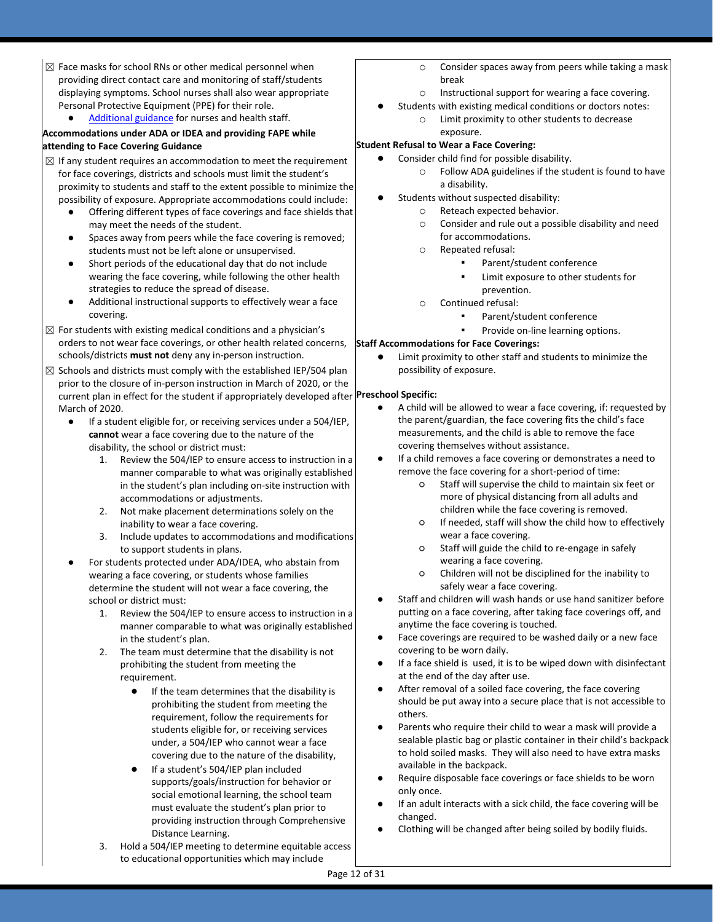- $\boxtimes$  Face masks for school RNs or other medical personnel when providing direct contact care and monitoring of staff/students displaying symptoms. School nurses shall also wear appropriate Personal Protective Equipment (PPE) for their role.
	- [Additional guidance](https://www.oregon.gov/ode/students-and-family/healthsafety/Documents/Additional%20Considerations%20for%20Staff%20Working%20with%20Students%20with%20Complex%20Needs.pdf) for nurses and health staff.

### **Accommodations under ADA or IDEA and providing FAPE while attending to Face Covering Guidance**

- $\boxtimes$  If any student requires an accommodation to meet the requirement for face coverings, districts and schools must limit the student's proximity to students and staff to the extent possible to minimize the possibility of exposure. Appropriate accommodations could include:
	- Offering different types of face coverings and face shields that may meet the needs of the student.
	- Spaces away from peers while the face covering is removed; students must not be left alone or unsupervised.
	- Short periods of the educational day that do not include wearing the face covering, while following the other health strategies to reduce the spread of disease.
	- Additional instructional supports to effectively wear a face covering.
- $\boxtimes$  For students with existing medical conditions and a physician's orders to not wear face coverings, or other health related concerns, schools/districts **must not** deny any in-person instruction.
- current plan in effect for the student if appropriately developed after **Preschool Specific:**  $\boxtimes$  Schools and districts must comply with the established IEP/504 plan prior to the closure of in-person instruction in March of 2020, or the March of 2020.
	- If a student eligible for, or receiving services under a 504/IEP, **cannot** wear a face covering due to the nature of the disability, the school or district must:
		- 1. Review the 504/IEP to ensure access to instruction in a manner comparable to what was originally established in the student's plan including on-site instruction with accommodations or adjustments.
		- 2. Not make placement determinations solely on the inability to wear a face covering.
		- 3. Include updates to accommodations and modifications to support students in plans.
	- For students protected under ADA/IDEA, who abstain from wearing a face covering, or students whose families determine the student will not wear a face covering, the school or district must:
		- 1. Review the 504/IEP to ensure access to instruction in a manner comparable to what was originally established in the student's plan.
		- 2. The team must determine that the disability is not prohibiting the student from meeting the requirement.
			- If the team determines that the disability is prohibiting the student from meeting the requirement, follow the requirements for students eligible for, or receiving services under, a 504/IEP who cannot wear a face covering due to the nature of the disability,
			- If a student's 504/IEP plan included supports/goals/instruction for behavior or social emotional learning, the school team must evaluate the student's plan prior to providing instruction through Comprehensive Distance Learning.
		- 3. Hold a 504/IEP meeting to determine equitable access to educational opportunities which may include
- o Consider spaces away from peers while taking a mask break
- o Instructional support for wearing a face covering.
- Students with existing medical conditions or doctors notes: o Limit proximity to other students to decrease

### exposure. **Student Refusal to Wear a Face Covering:**

- Consider child find for possible disability.
	- o Follow ADA guidelines if the student is found to have a disability.
- Students without suspected disability:
	- o Reteach expected behavior.
		- o Consider and rule out a possible disability and need for accommodations.
		- o Repeated refusal:
			- Parent/student conference
				- Limit exposure to other students for prevention.
		- o Continued refusal:
			- Parent/student conference
				- Provide on-line learning options.

### **Staff Accommodations for Face Coverings:**

Limit proximity to other staff and students to minimize the possibility of exposure.

- A child will be allowed to wear a face covering, if: requested by the parent/guardian, the face covering fits the child's face measurements, and the child is able to remove the face covering themselves without assistance.
- If a child removes a face covering or demonstrates a need to remove the face covering for a short-period of time:
	- Staff will supervise the child to maintain six feet or more of physical distancing from all adults and children while the face covering is removed.
	- If needed, staff will show the child how to effectively wear a face covering.
	- Staff will guide the child to re-engage in safely wearing a face covering.
	- Children will not be disciplined for the inability to safely wear a face covering.
- Staff and children will wash hands or use hand sanitizer before putting on a face covering, after taking face coverings off, and anytime the face covering is touched.
- Face coverings are required to be washed daily or a new face covering to be worn daily.
- If a face shield is used, it is to be wiped down with disinfectant at the end of the day after use.
- After removal of a soiled face covering, the face covering should be put away into a secure place that is not accessible to others.
- Parents who require their child to wear a mask will provide a sealable plastic bag or plastic container in their child's backpack to hold soiled masks. They will also need to have extra masks available in the backpack.
- Require disposable face coverings or face shields to be worn only once.
- If an adult interacts with a sick child, the face covering will be changed.
- Clothing will be changed after being soiled by bodily fluids.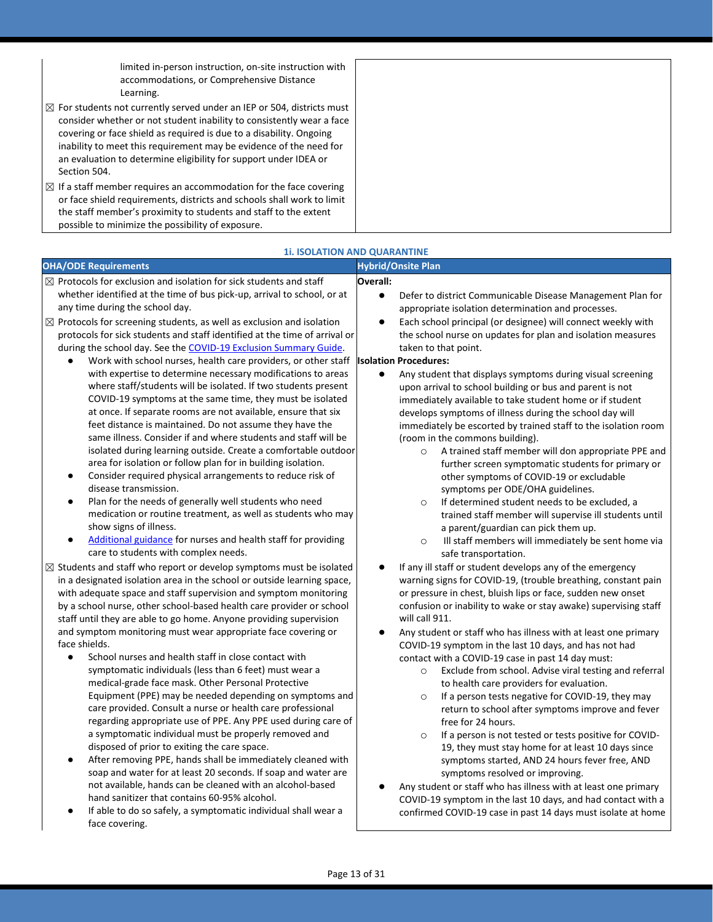limited in-person instruction, on-site instruction with accommodations, or Comprehensive Distance Learning.

- $\boxtimes$  For students not currently served under an IEP or 504, districts must consider whether or not student inability to consistently wear a face covering or face shield as required is due to a disability. Ongoing inability to meet this requirement may be evidence of the need for an evaluation to determine eligibility for support under IDEA or Section 504.
- $\boxtimes$  If a staff member requires an accommodation for the face covering or face shield requirements, districts and schools shall work to limit the staff member's proximity to students and staff to the extent possible to minimize the possibility of exposure.

|                                                                                                                                                                                                                                                                                                                                                                                                                                                                                                                                                                                                                                                                                                                                                                                                                                                                                                                                                                                                                                                                                                                               | <b>1i. ISOLATION AND QUARANTINE</b>                                                                                                                                                                                                                                                                                                                                                                                                                                                                                                                                                                                                                                                                                                                                                                                                                                                                                                                   |
|-------------------------------------------------------------------------------------------------------------------------------------------------------------------------------------------------------------------------------------------------------------------------------------------------------------------------------------------------------------------------------------------------------------------------------------------------------------------------------------------------------------------------------------------------------------------------------------------------------------------------------------------------------------------------------------------------------------------------------------------------------------------------------------------------------------------------------------------------------------------------------------------------------------------------------------------------------------------------------------------------------------------------------------------------------------------------------------------------------------------------------|-------------------------------------------------------------------------------------------------------------------------------------------------------------------------------------------------------------------------------------------------------------------------------------------------------------------------------------------------------------------------------------------------------------------------------------------------------------------------------------------------------------------------------------------------------------------------------------------------------------------------------------------------------------------------------------------------------------------------------------------------------------------------------------------------------------------------------------------------------------------------------------------------------------------------------------------------------|
| <b>OHA/ODE Requirements</b>                                                                                                                                                                                                                                                                                                                                                                                                                                                                                                                                                                                                                                                                                                                                                                                                                                                                                                                                                                                                                                                                                                   | <b>Hybrid/Onsite Plan</b>                                                                                                                                                                                                                                                                                                                                                                                                                                                                                                                                                                                                                                                                                                                                                                                                                                                                                                                             |
| $\boxtimes$ Protocols for exclusion and isolation for sick students and staff<br>whether identified at the time of bus pick-up, arrival to school, or at<br>any time during the school day.<br>$\boxtimes$ Protocols for screening students, as well as exclusion and isolation                                                                                                                                                                                                                                                                                                                                                                                                                                                                                                                                                                                                                                                                                                                                                                                                                                               | Overall:<br>$\bullet$<br>Defer to district Communicable Disease Management Plan for<br>appropriate isolation determination and processes.<br>Each school principal (or designee) will connect weekly with                                                                                                                                                                                                                                                                                                                                                                                                                                                                                                                                                                                                                                                                                                                                             |
| protocols for sick students and staff identified at the time of arrival or<br>during the school day. See the COVID-19 Exclusion Summary Guide.<br>Work with school nurses, health care providers, or other staff<br>with expertise to determine necessary modifications to areas<br>where staff/students will be isolated. If two students present<br>COVID-19 symptoms at the same time, they must be isolated<br>at once. If separate rooms are not available, ensure that six<br>feet distance is maintained. Do not assume they have the<br>same illness. Consider if and where students and staff will be<br>isolated during learning outside. Create a comfortable outdoor<br>area for isolation or follow plan for in building isolation.<br>Consider required physical arrangements to reduce risk of<br>$\bullet$<br>disease transmission.<br>Plan for the needs of generally well students who need<br>$\bullet$<br>medication or routine treatment, as well as students who may<br>show signs of illness.<br>Additional guidance for nurses and health staff for providing<br>care to students with complex needs. | the school nurse on updates for plan and isolation measures<br>taken to that point.<br><b>Isolation Procedures:</b><br>$\bullet$<br>Any student that displays symptoms during visual screening<br>upon arrival to school building or bus and parent is not<br>immediately available to take student home or if student<br>develops symptoms of illness during the school day will<br>immediately be escorted by trained staff to the isolation room<br>(room in the commons building).<br>A trained staff member will don appropriate PPE and<br>$\circ$<br>further screen symptomatic students for primary or<br>other symptoms of COVID-19 or excludable<br>symptoms per ODE/OHA guidelines.<br>If determined student needs to be excluded, a<br>$\circ$<br>trained staff member will supervise ill students until<br>a parent/guardian can pick them up.<br>Ill staff members will immediately be sent home via<br>$\circ$<br>safe transportation. |
| $\boxtimes$ Students and staff who report or develop symptoms must be isolated<br>in a designated isolation area in the school or outside learning space,<br>with adequate space and staff supervision and symptom monitoring<br>by a school nurse, other school-based health care provider or school<br>staff until they are able to go home. Anyone providing supervision                                                                                                                                                                                                                                                                                                                                                                                                                                                                                                                                                                                                                                                                                                                                                   | If any ill staff or student develops any of the emergency<br>warning signs for COVID-19, (trouble breathing, constant pain<br>or pressure in chest, bluish lips or face, sudden new onset<br>confusion or inability to wake or stay awake) supervising staff<br>will call 911.                                                                                                                                                                                                                                                                                                                                                                                                                                                                                                                                                                                                                                                                        |
| and symptom monitoring must wear appropriate face covering or<br>face shields.<br>School nurses and health staff in close contact with<br>$\bullet$<br>symptomatic individuals (less than 6 feet) must wear a<br>medical-grade face mask. Other Personal Protective<br>Equipment (PPE) may be needed depending on symptoms and<br>care provided. Consult a nurse or health care professional<br>regarding appropriate use of PPE. Any PPE used during care of<br>a symptomatic individual must be properly removed and<br>disposed of prior to exiting the care space.<br>After removing PPE, hands shall be immediately cleaned with<br>soap and water for at least 20 seconds. If soap and water are<br>not available, hands can be cleaned with an alcohol-based<br>hand sanitizer that contains 60-95% alcohol.<br>If able to do so safely, a symptomatic individual shall wear a<br>face covering.                                                                                                                                                                                                                       | Any student or staff who has illness with at least one primary<br>$\bullet$<br>COVID-19 symptom in the last 10 days, and has not had<br>contact with a COVID-19 case in past 14 day must:<br>Exclude from school. Advise viral testing and referral<br>$\circ$<br>to health care providers for evaluation.<br>If a person tests negative for COVID-19, they may<br>$\circ$<br>return to school after symptoms improve and fever<br>free for 24 hours.<br>If a person is not tested or tests positive for COVID-<br>$\circ$<br>19, they must stay home for at least 10 days since<br>symptoms started, AND 24 hours fever free, AND<br>symptoms resolved or improving.<br>Any student or staff who has illness with at least one primary<br>COVID-19 symptom in the last 10 days, and had contact with a<br>confirmed COVID-19 case in past 14 days must isolate at home                                                                               |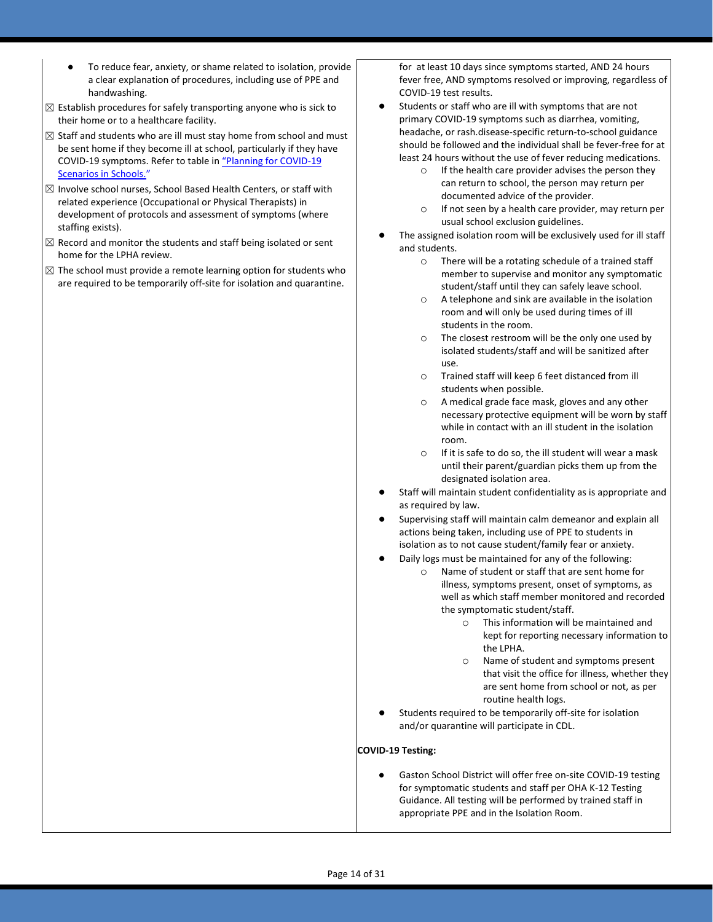- To reduce fear, anxiety, or shame related to isolation, provide a clear explanation of procedures, including use of PPE and handwashing.
- $\boxtimes$  Establish procedures for safely transporting anyone who is sick to their home or to a healthcare facility.
- $\boxtimes$  Staff and students who are ill must stay home from school and must be sent home if they become ill at school, particularly if they have COVID-19 symptoms. Refer to table in ["Planning for COVID](https://www.oregon.gov/ode/students-and-family/healthsafety/Documents/Planning%20and%20Responding%20to%20COVID-19%20Scenarios%20in%20Schools.pdf)-19 [Scenarios in Schools.](https://www.oregon.gov/ode/students-and-family/healthsafety/Documents/Planning%20and%20Responding%20to%20COVID-19%20Scenarios%20in%20Schools.pdf)["](https://www.oregon.gov/ode/students-and-family/healthsafety/Documents/Planning%20and%20Responding%20to%20COVID-19%20Scenarios%20in%20Schools.pdf)
- $\boxtimes$  Involve school nurses, School Based Health Centers, or staff with related experience (Occupational or Physical Therapists) in development of protocols and assessment of symptoms (where staffing exists).
- $\boxtimes$  Record and monitor the students and staff being isolated or sent home for the LPHA review.
- $\boxtimes$  The school must provide a remote learning option for students who are required to be temporarily off-site for isolation and quarantine.

for at least 10 days since symptoms started, AND 24 hours fever free, AND symptoms resolved or improving, regardless of COVID-19 test results.

- Students or staff who are ill with symptoms that are not primary COVID-19 symptoms such as diarrhea, vomiting, headache, or rash.disease-specific return-to-school guidance should be followed and the individual shall be fever-free for at least 24 hours without the use of fever reducing medications.
	- o If the health care provider advises the person they can return to school, the person may return per documented advice of the provider.
	- o If not seen by a health care provider, may return per usual school exclusion guidelines.
- The assigned isolation room will be exclusively used for ill staff and students.
	- o There will be a rotating schedule of a trained staff member to supervise and monitor any symptomatic student/staff until they can safely leave school.
	- o A telephone and sink are available in the isolation room and will only be used during times of ill students in the room.
	- o The closest restroom will be the only one used by isolated students/staff and will be sanitized after use.
	- o Trained staff will keep 6 feet distanced from ill students when possible.
	- o A medical grade face mask, gloves and any other necessary protective equipment will be worn by staff while in contact with an ill student in the isolation room.
	- o If it is safe to do so, the ill student will wear a mask until their parent/guardian picks them up from the designated isolation area.
- Staff will maintain student confidentiality as is appropriate and as required by law.
- Supervising staff will maintain calm demeanor and explain all actions being taken, including use of PPE to students in isolation as to not cause student/family fear or anxiety.
- Daily logs must be maintained for any of the following:
	- Name of student or staff that are sent home for illness, symptoms present, onset of symptoms, as well as which staff member monitored and recorded the symptomatic student/staff.
		- o This information will be maintained and kept for reporting necessary information to the LPHA.
		- o Name of student and symptoms present that visit the office for illness, whether they are sent home from school or not, as per routine health logs.
- Students required to be temporarily off-site for isolation and/or quarantine will participate in CDL.

### **COVID-19 Testing:**

Gaston School District will offer free on-site COVID-19 testing for symptomatic students and staff per OHA K-12 Testing Guidance. All testing will be performed by trained staff in appropriate PPE and in the Isolation Room.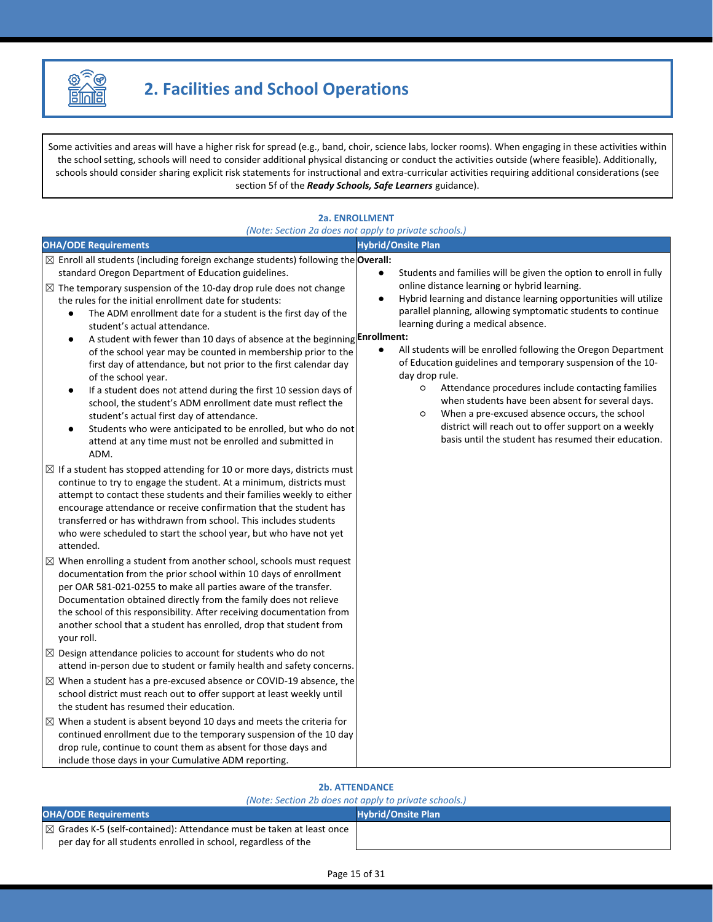

Some activities and areas will have a higher risk for spread (e.g., band, choir, science labs, locker rooms). When engaging in these activities within the school setting, schools will need to consider additional physical distancing or conduct the activities outside (where feasible). Additionally, schools should consider sharing explicit risk statements for instructional and extra-curricular activities requiring additional considerations (see section 5f of the *Ready Schools, Safe Learners* guidance).

### **2a. ENROLLMENT** *(Note: Section 2a does not apply to private schools.)* **OHA/ODE Requirements Hybrid/Onsite Plan** ☒ Enroll all students (including foreign exchange students) following the **Overall:** standard Oregon Department of Education guidelines. ● Students and families will be given the option to enroll in fully online distance learning or hybrid learning. Hybrid learning and distance learning opportunities will utilize parallel planning, allowing symptomatic students to continue learning during a medical absence. ● A student with fewer than 10 days of absence at the beginning **Enrollment**: All students will be enrolled following the Oregon Department of Education guidelines and temporary suspension of the 10 day drop rule. ○ Attendance procedures include contacting families when students have been absent for several days. ○ When a pre-excused absence occurs, the school district will reach out to offer support on a weekly basis until the student has resumed their education.  $\boxtimes$  The temporary suspension of the 10-day drop rule does not change the rules for the initial enrollment date for students: The ADM enrollment date for a student is the first day of the student's actual attendance. of the school year may be counted in membership prior to the first day of attendance, but not prior to the first calendar day of the school year. If a student does not attend during the first 10 session days of school, the student's ADM enrollment date must reflect the student's actual first day of attendance. Students who were anticipated to be enrolled, but who do not attend at any time must not be enrolled and submitted in ADM.  $\boxtimes$  If a student has stopped attending for 10 or more days, districts must continue to try to engage the student. At a minimum, districts must attempt to contact these students and their families weekly to either encourage attendance or receive confirmation that the student has transferred or has withdrawn from school. This includes students who were scheduled to start the school year, but who have not yet attended.  $\boxtimes$  When enrolling a student from another school, schools must request documentation from the prior school within 10 days of enrollment per OAR 581-021-0255 to make all parties aware of the transfer. Documentation obtained directly from the family does not relieve the school of this responsibility. After receiving documentation from another school that a student has enrolled, drop that student from your roll.  $\boxtimes$  Design attendance policies to account for students who do not attend in-person due to student or family health and safety concerns.  $\boxtimes$  When a student has a pre-excused absence or COVID-19 absence, the school district must reach out to offer support at least weekly until the student has resumed their education.  $\boxtimes$  When a student is absent beyond 10 days and meets the criteria for continued enrollment due to the temporary suspension of the 10 day drop rule, continue to count them as absent for those days and include those days in your Cumulative ADM reporting.

### **2b. ATTENDANCE**

### *(Note: Section 2b does not apply to private schools.)*

| <b>OHA/ODE Requirements</b>                                                      | <b>Hybrid/Onsite Plan</b> |
|----------------------------------------------------------------------------------|---------------------------|
| $\mathbb{R}$ Grades K-5 (self-contained): Attendance must be taken at least once |                           |
| per day for all students enrolled in school, regardless of the                   |                           |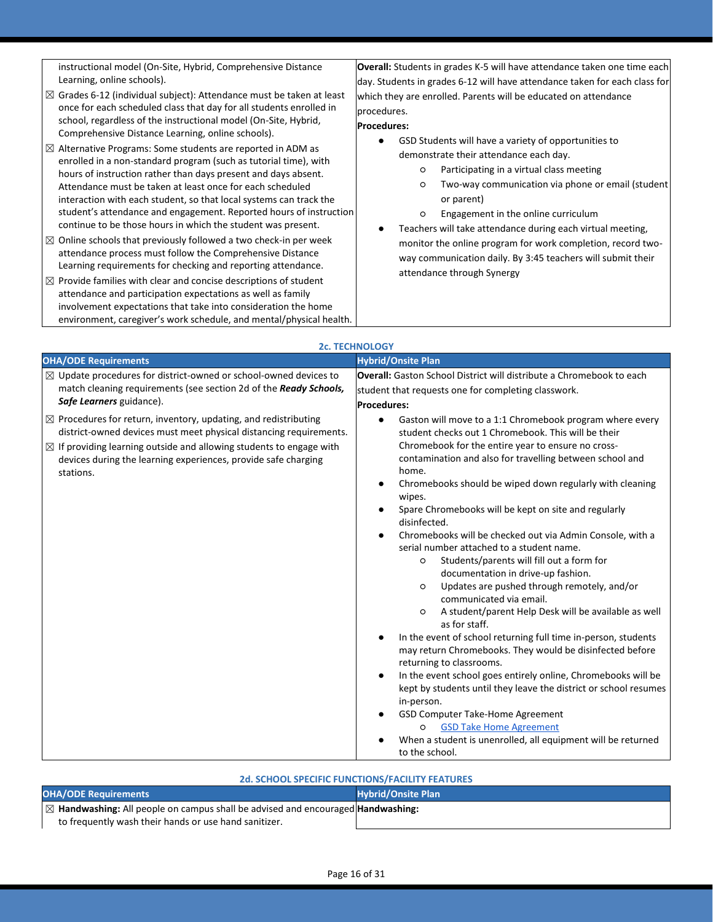instructional model (On-Site, Hybrid, Comprehensive Distance Learning, online schools).

- $\boxtimes$  Grades 6-12 (individual subject): Attendance must be taken at least once for each scheduled class that day for all students enrolled in school, regardless of the instructional model (On-Site, Hybrid, Comprehensive Distance Learning, online schools).
- $\boxtimes$  Alternative Programs: Some students are reported in ADM as enrolled in a non-standard program (such as tutorial time), with hours of instruction rather than days present and days absent. Attendance must be taken at least once for each scheduled interaction with each student, so that local systems can track the student's attendance and engagement. Reported hours of instruction continue to be those hours in which the student was present.
- $\boxtimes$  Online schools that previously followed a two check-in per week attendance process must follow the Comprehensive Distance Learning requirements for checking and reporting attendance.
- $\boxtimes$  Provide families with clear and concise descriptions of student attendance and participation expectations as well as family involvement expectations that take into consideration the home environment, caregiver's work schedule, and mental/physical health.

**Overall:** Students in grades K-5 will have attendance taken one time each day. Students in grades 6-12 will have attendance taken for each class for which they are enrolled. Parents will be educated on attendance procedures.

### **Procedures:**

- GSD Students will have a variety of opportunities to demonstrate their attendance each day.
	- Participating in a virtual class meeting
	- Two-way communication via phone or email (student or parent)
	- Engagement in the online curriculum
- Teachers will take attendance during each virtual meeting, monitor the online program for work completion, record twoway communication daily. By 3:45 teachers will submit their attendance through Synergy

|                                                                                                                                                                                                                                                                                                                   | <b>2c. TECHNOLOGY</b>                                                                                                                                                                                                                                                                                                                                                                                                                                                                                                                                                                                                                                                                                                                                                                                                                                                                                                                                                                                                                                                                                                                                                                                                                                                            |
|-------------------------------------------------------------------------------------------------------------------------------------------------------------------------------------------------------------------------------------------------------------------------------------------------------------------|----------------------------------------------------------------------------------------------------------------------------------------------------------------------------------------------------------------------------------------------------------------------------------------------------------------------------------------------------------------------------------------------------------------------------------------------------------------------------------------------------------------------------------------------------------------------------------------------------------------------------------------------------------------------------------------------------------------------------------------------------------------------------------------------------------------------------------------------------------------------------------------------------------------------------------------------------------------------------------------------------------------------------------------------------------------------------------------------------------------------------------------------------------------------------------------------------------------------------------------------------------------------------------|
| <b>OHA/ODE Requirements</b>                                                                                                                                                                                                                                                                                       | <b>Hybrid/Onsite Plan</b>                                                                                                                                                                                                                                                                                                                                                                                                                                                                                                                                                                                                                                                                                                                                                                                                                                                                                                                                                                                                                                                                                                                                                                                                                                                        |
| $\boxtimes$ Update procedures for district-owned or school-owned devices to<br>match cleaning requirements (see section 2d of the Ready Schools,<br>Safe Learners guidance).                                                                                                                                      | <b>Overall:</b> Gaston School District will distribute a Chromebook to each<br>student that requests one for completing classwork.<br><b>Procedures:</b>                                                                                                                                                                                                                                                                                                                                                                                                                                                                                                                                                                                                                                                                                                                                                                                                                                                                                                                                                                                                                                                                                                                         |
| $\boxtimes$ Procedures for return, inventory, updating, and redistributing<br>district-owned devices must meet physical distancing requirements.<br>$\boxtimes$ If providing learning outside and allowing students to engage with<br>devices during the learning experiences, provide safe charging<br>stations. | Gaston will move to a 1:1 Chromebook program where every<br>$\bullet$<br>student checks out 1 Chromebook. This will be their<br>Chromebook for the entire year to ensure no cross-<br>contamination and also for travelling between school and<br>home.<br>Chromebooks should be wiped down regularly with cleaning<br>٠<br>wipes.<br>Spare Chromebooks will be kept on site and regularly<br>disinfected.<br>Chromebooks will be checked out via Admin Console, with a<br>$\bullet$<br>serial number attached to a student name.<br>Students/parents will fill out a form for<br>O<br>documentation in drive-up fashion.<br>Updates are pushed through remotely, and/or<br>$\circ$<br>communicated via email.<br>A student/parent Help Desk will be available as well<br>O<br>as for staff.<br>In the event of school returning full time in-person, students<br>٠<br>may return Chromebooks. They would be disinfected before<br>returning to classrooms.<br>In the event school goes entirely online, Chromebooks will be<br>٠<br>kept by students until they leave the district or school resumes<br>in-person.<br>GSD Computer Take-Home Agreement<br><b>GSD Take Home Agreement</b><br>O<br>When a student is unenrolled, all equipment will be returned<br>to the school. |

### **2d. SCHOOL SPECIFIC FUNCTIONS/FACILITY FEATURES**

| <b>OHA/ODE Requirements</b>                                                                | <b>Hybrid/Onsite Plan</b> |
|--------------------------------------------------------------------------------------------|---------------------------|
| $\boxtimes$ Handwashing: All people on campus shall be advised and encouraged Handwashing: |                           |
| to frequently wash their hands or use hand sanitizer.                                      |                           |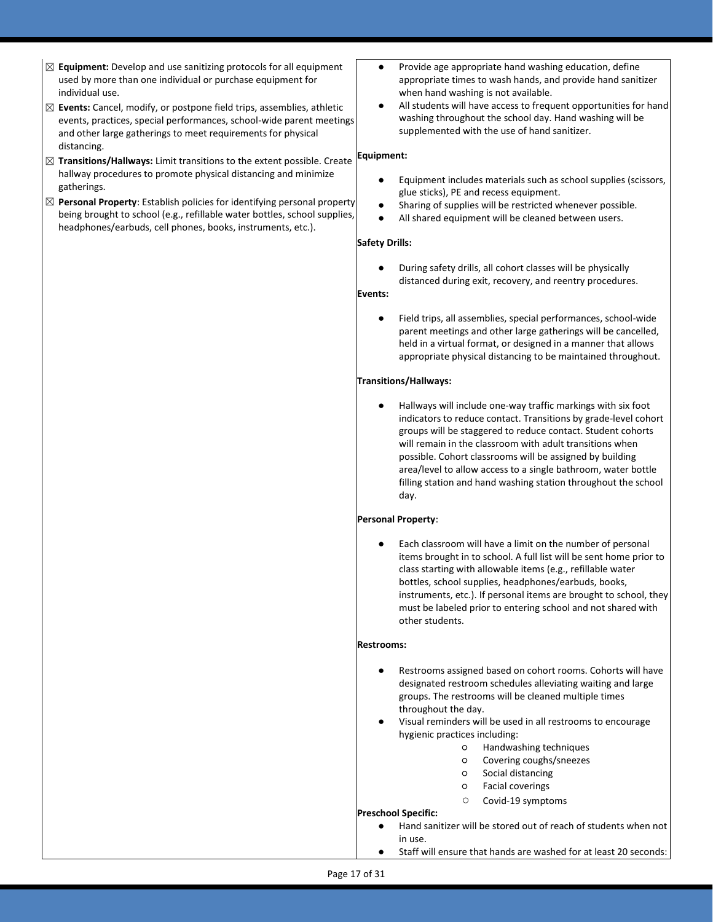- ☒ **Equipment:** Develop and use sanitizing protocols for all equipment used by more than one individual or purchase equipment for individual use.
- ☒ **Events:** Cancel, modify, or postpone field trips, assemblies, athletic events, practices, special performances, school-wide parent meetings and other large gatherings to meet requirements for physical distancing.
- ☒ **Transitions/Hallways:** Limit transitions to the extent possible. Create hallway procedures to promote physical distancing and minimize gatherings.
- ☒ **Personal Property**: Establish policies for identifying personal property being brought to school (e.g., refillable water bottles, school supplies, headphones/earbuds, cell phones, books, instruments, etc.).
- Provide age appropriate hand washing education, define appropriate times to wash hands, and provide hand sanitizer when hand washing is not available.
- All students will have access to frequent opportunities for hand washing throughout the school day. Hand washing will be supplemented with the use of hand sanitizer.

### **Equipment:**

- Equipment includes materials such as school supplies (scissors, glue sticks), PE and recess equipment.
- Sharing of supplies will be restricted whenever possible.
- All shared equipment will be cleaned between users.

### **Safety Drills:**

During safety drills, all cohort classes will be physically distanced during exit, recovery, and reentry procedures.

## **Events:**

Field trips, all assemblies, special performances, school-wide parent meetings and other large gatherings will be cancelled, held in a virtual format, or designed in a manner that allows appropriate physical distancing to be maintained throughout.

### **Transitions/Hallways:**

Hallways will include one-way traffic markings with six foot indicators to reduce contact. Transitions by grade-level cohort groups will be staggered to reduce contact. Student cohorts will remain in the classroom with adult transitions when possible. Cohort classrooms will be assigned by building area/level to allow access to a single bathroom, water bottle filling station and hand washing station throughout the school day.

### **Personal Property**:

Each classroom will have a limit on the number of personal items brought in to school. A full list will be sent home prior to class starting with allowable items (e.g., refillable water bottles, school supplies, headphones/earbuds, books, instruments, etc.). If personal items are brought to school, they must be labeled prior to entering school and not shared with other students.

### **Restrooms:**

- Restrooms assigned based on cohort rooms. Cohorts will have designated restroom schedules alleviating waiting and large groups. The restrooms will be cleaned multiple times throughout the day.
- Visual reminders will be used in all restrooms to encourage hygienic practices including:
	- Handwashing techniques
	- Covering coughs/sneezes
	- Social distancing
	- Facial coverings
	- Covid-19 symptoms

### **Preschool Specific:**

- Hand sanitizer will be stored out of reach of students when not in use.
- Staff will ensure that hands are washed for at least 20 seconds: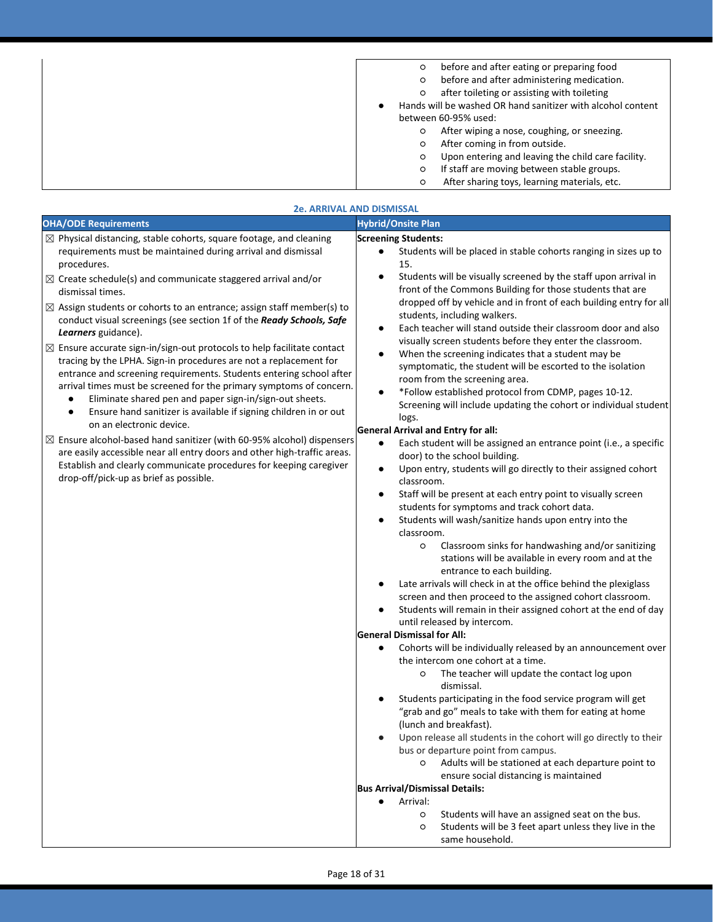| before and after eating or preparing food<br>O              |
|-------------------------------------------------------------|
| before and after administering medication.<br>O             |
| after toileting or assisting with toileting<br>O            |
| Hands will be washed OR hand sanitizer with alcohol content |
| between 60-95% used:                                        |
| After wiping a nose, coughing, or sneezing.<br>O            |
| After coming in from outside.<br>O                          |
| Upon entering and leaving the child care facility.<br>O     |
| If staff are moving between stable groups.<br>O             |
| After sharing toys, learning materials, etc.<br>O           |

|                                                                                                                                                                                                                                                                                                                                                                                                                                                | <b>2e. ARRIVAL AND DISMISSAL</b>                                                                                                                                                                                                                                                                                                                                                                                                                                                                                                                                                                                                                                                                                                                                                                                      |
|------------------------------------------------------------------------------------------------------------------------------------------------------------------------------------------------------------------------------------------------------------------------------------------------------------------------------------------------------------------------------------------------------------------------------------------------|-----------------------------------------------------------------------------------------------------------------------------------------------------------------------------------------------------------------------------------------------------------------------------------------------------------------------------------------------------------------------------------------------------------------------------------------------------------------------------------------------------------------------------------------------------------------------------------------------------------------------------------------------------------------------------------------------------------------------------------------------------------------------------------------------------------------------|
| <b>OHA/ODE Requirements</b>                                                                                                                                                                                                                                                                                                                                                                                                                    | <b>Hybrid/Onsite Plan</b>                                                                                                                                                                                                                                                                                                                                                                                                                                                                                                                                                                                                                                                                                                                                                                                             |
| $\boxtimes$ Physical distancing, stable cohorts, square footage, and cleaning<br>requirements must be maintained during arrival and dismissal<br>procedures.<br>$\boxtimes$ Create schedule(s) and communicate staggered arrival and/or<br>dismissal times.<br>$\boxtimes$ Assign students or cohorts to an entrance; assign staff member(s) to<br>conduct visual screenings (see section 1f of the Ready Schools, Safe<br>Learners guidance). | <b>Screening Students:</b><br>Students will be placed in stable cohorts ranging in sizes up to<br>15.<br>Students will be visually screened by the staff upon arrival in<br>front of the Commons Building for those students that are<br>dropped off by vehicle and in front of each building entry for all<br>students, including walkers.<br>Each teacher will stand outside their classroom door and also<br>٠                                                                                                                                                                                                                                                                                                                                                                                                     |
| $\boxtimes$ Ensure accurate sign-in/sign-out protocols to help facilitate contact<br>tracing by the LPHA. Sign-in procedures are not a replacement for<br>entrance and screening requirements. Students entering school after<br>arrival times must be screened for the primary symptoms of concern.<br>Eliminate shared pen and paper sign-in/sign-out sheets.<br>٠<br>Ensure hand sanitizer is available if signing children in or out<br>٠  | visually screen students before they enter the classroom.<br>When the screening indicates that a student may be<br>symptomatic, the student will be escorted to the isolation<br>room from the screening area.<br>*Follow established protocol from CDMP, pages 10-12.<br>$\bullet$<br>Screening will include updating the cohort or individual student<br>logs.                                                                                                                                                                                                                                                                                                                                                                                                                                                      |
| on an electronic device.<br>$\boxtimes$ Ensure alcohol-based hand sanitizer (with 60-95% alcohol) dispensers<br>are easily accessible near all entry doors and other high-traffic areas.<br>Establish and clearly communicate procedures for keeping caregiver<br>drop-off/pick-up as brief as possible.                                                                                                                                       | <b>General Arrival and Entry for all:</b><br>Each student will be assigned an entrance point (i.e., a specific<br>$\bullet$<br>door) to the school building.<br>Upon entry, students will go directly to their assigned cohort<br>$\bullet$<br>classroom.<br>Staff will be present at each entry point to visually screen<br>students for symptoms and track cohort data.<br>Students will wash/sanitize hands upon entry into the<br>classroom.<br>Classroom sinks for handwashing and/or sanitizing<br>$\circ$<br>stations will be available in every room and at the<br>entrance to each building.<br>Late arrivals will check in at the office behind the plexiglass<br>screen and then proceed to the assigned cohort classroom.<br>Students will remain in their assigned cohort at the end of day<br>$\bullet$ |
|                                                                                                                                                                                                                                                                                                                                                                                                                                                | until released by intercom.<br><b>General Dismissal for All:</b><br>Cohorts will be individually released by an announcement over<br>the intercom one cohort at a time.<br>The teacher will update the contact log upon<br>$\circ$<br>dismissal.<br>Students participating in the food service program will get<br>"grab and go" meals to take with them for eating at home<br>(lunch and breakfast).<br>Upon release all students in the cohort will go directly to their<br>bus or departure point from campus.<br>Adults will be stationed at each departure point to<br>O<br>ensure social distancing is maintained<br><b>Bus Arrival/Dismissal Details:</b><br>Arrival:<br>Students will have an assigned seat on the bus.<br>$\circ$<br>Students will be 3 feet apart unless they live in the<br>$\circ$        |

same household.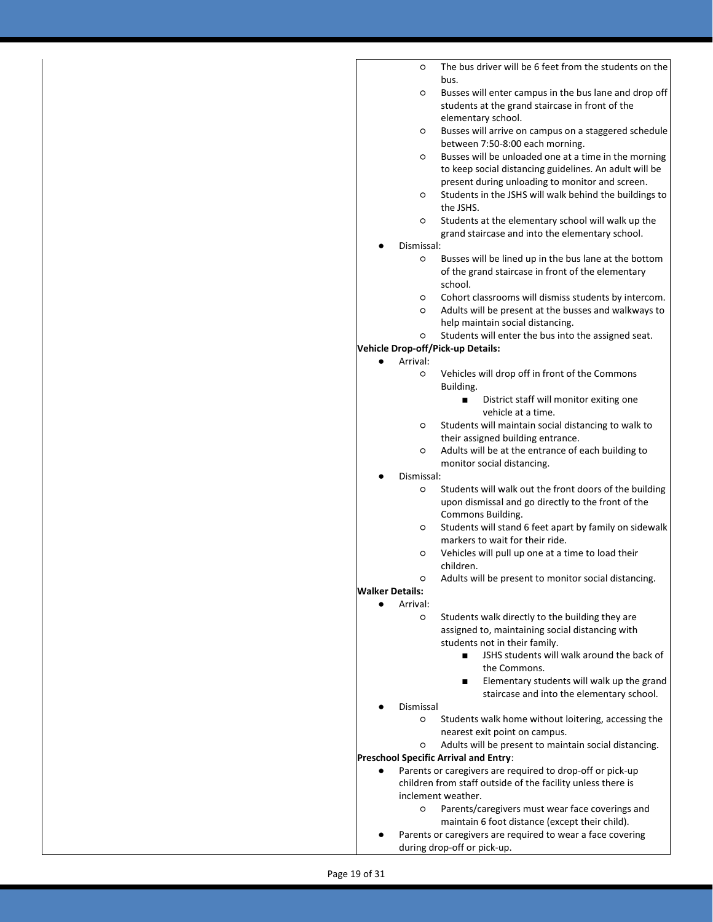|                        | O             | The bus driver will be 6 feet from the students on the                                                    |
|------------------------|---------------|-----------------------------------------------------------------------------------------------------------|
|                        |               | hus.                                                                                                      |
|                        | O             | Busses will enter campus in the bus lane and drop off                                                     |
|                        |               | students at the grand staircase in front of the                                                           |
|                        |               | elementary school.                                                                                        |
|                        | $\circ$       | Busses will arrive on campus on a staggered schedule                                                      |
|                        |               | between 7:50-8:00 each morning.                                                                           |
|                        | $\circ$       | Busses will be unloaded one at a time in the morning                                                      |
|                        |               | to keep social distancing guidelines. An adult will be<br>present during unloading to monitor and screen. |
|                        | $\circ$       | Students in the JSHS will walk behind the buildings to                                                    |
|                        |               | the JSHS.                                                                                                 |
|                        | O             | Students at the elementary school will walk up the                                                        |
|                        |               | grand staircase and into the elementary school.                                                           |
|                        | Dismissal:    |                                                                                                           |
|                        | O             | Busses will be lined up in the bus lane at the bottom                                                     |
|                        |               | of the grand staircase in front of the elementary                                                         |
|                        |               | school.                                                                                                   |
|                        | O             | Cohort classrooms will dismiss students by intercom.                                                      |
|                        | $\circ$       | Adults will be present at the busses and walkways to                                                      |
|                        |               | help maintain social distancing.                                                                          |
|                        | O             | Students will enter the bus into the assigned seat.                                                       |
|                        |               | <b>Vehicle Drop-off/Pick-up Details:</b>                                                                  |
|                        | Arrival:<br>O | Vehicles will drop off in front of the Commons                                                            |
|                        |               | Building.                                                                                                 |
|                        |               | District staff will monitor exiting one<br>п                                                              |
|                        |               | vehicle at a time.                                                                                        |
|                        | $\circ$       | Students will maintain social distancing to walk to                                                       |
|                        |               | their assigned building entrance.                                                                         |
|                        | O             | Adults will be at the entrance of each building to                                                        |
|                        |               | monitor social distancing.                                                                                |
|                        | Dismissal:    |                                                                                                           |
|                        | O             | Students will walk out the front doors of the building                                                    |
|                        |               | upon dismissal and go directly to the front of the                                                        |
|                        |               | Commons Building.                                                                                         |
|                        | $\circ$       | Students will stand 6 feet apart by family on sidewalk<br>markers to wait for their ride.                 |
|                        | O             | Vehicles will pull up one at a time to load their                                                         |
|                        |               | children.                                                                                                 |
|                        | ∩             | Adults will be present to monitor social distancing.                                                      |
| <b>Walker Details:</b> |               |                                                                                                           |
|                        | Arrival:      |                                                                                                           |
|                        | O             | Students walk directly to the building they are                                                           |
|                        |               | assigned to, maintaining social distancing with                                                           |
|                        |               | students not in their family.                                                                             |
|                        |               | JSHS students will walk around the back of<br>п                                                           |
|                        |               | the Commons.                                                                                              |
|                        |               | Elementary students will walk up the grand<br>п                                                           |
|                        |               | staircase and into the elementary school.                                                                 |
|                        | Dismissal     |                                                                                                           |
|                        | O             | Students walk home without loitering, accessing the                                                       |
|                        |               | nearest exit point on campus.                                                                             |
|                        | O             | Adults will be present to maintain social distancing.                                                     |
|                        |               | Preschool Specific Arrival and Entry:<br>Parents or caregivers are required to drop-off or pick-up        |
|                        |               | children from staff outside of the facility unless there is                                               |
|                        |               | inclement weather.                                                                                        |
|                        | O             | Parents/caregivers must wear face coverings and                                                           |
|                        |               | maintain 6 foot distance (except their child).                                                            |
|                        |               | Parents or caregivers are required to wear a face covering                                                |
|                        |               | during drop-off or pick-up.                                                                               |
|                        |               |                                                                                                           |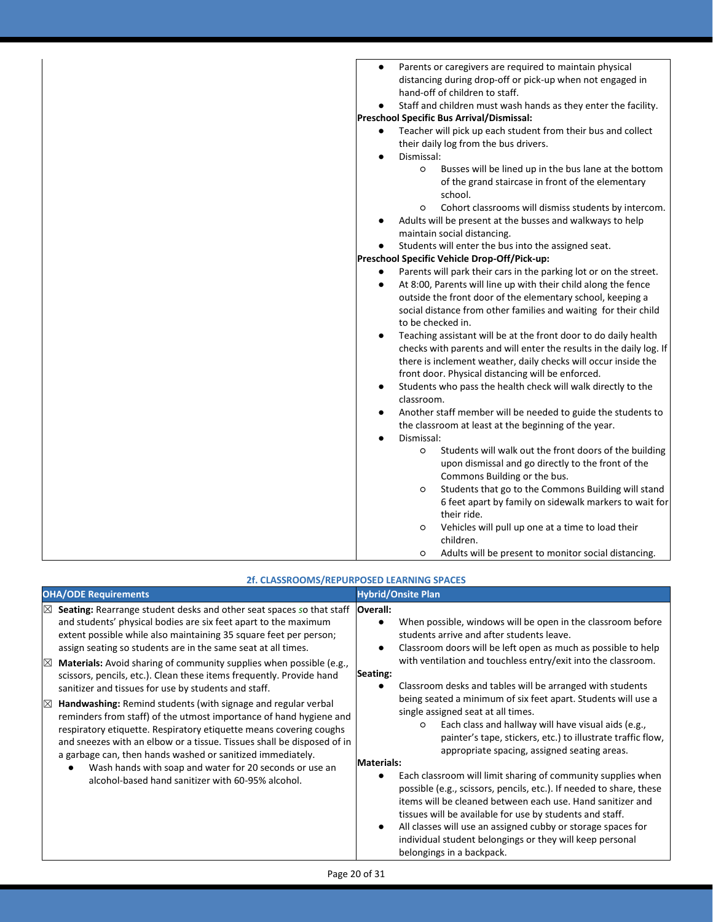| Parents or caregivers are required to maintain physical<br>$\bullet$           |
|--------------------------------------------------------------------------------|
| distancing during drop-off or pick-up when not engaged in                      |
| hand-off of children to staff.                                                 |
| Staff and children must wash hands as they enter the facility.                 |
| Preschool Specific Bus Arrival/Dismissal:                                      |
| Teacher will pick up each student from their bus and collect<br>$\bullet$      |
| their daily log from the bus drivers.<br>Dismissal:                            |
| Busses will be lined up in the bus lane at the bottom<br>$\circ$               |
| of the grand staircase in front of the elementary                              |
| school.                                                                        |
| Cohort classrooms will dismiss students by intercom.<br>$\circ$                |
| Adults will be present at the busses and walkways to help                      |
| maintain social distancing.                                                    |
| Students will enter the bus into the assigned seat.                            |
| Preschool Specific Vehicle Drop-Off/Pick-up:                                   |
| Parents will park their cars in the parking lot or on the street.<br>$\bullet$ |
| At 8:00, Parents will line up with their child along the fence<br>$\bullet$    |
| outside the front door of the elementary school, keeping a                     |
| social distance from other families and waiting for their child                |
| to be checked in.                                                              |
| Teaching assistant will be at the front door to do daily health                |
| checks with parents and will enter the results in the daily log. If            |
| there is inclement weather, daily checks will occur inside the                 |
| front door. Physical distancing will be enforced.                              |
| Students who pass the health check will walk directly to the                   |
| classroom.                                                                     |
| Another staff member will be needed to guide the students to                   |
| the classroom at least at the beginning of the year.                           |
| Dismissal:<br>$\bullet$                                                        |
| Students will walk out the front doors of the building<br>$\circ$              |
| upon dismissal and go directly to the front of the                             |
| Commons Building or the bus.                                                   |
| Students that go to the Commons Building will stand<br>O                       |
| 6 feet apart by family on sidewalk markers to wait for                         |
| their ride.                                                                    |
| Vehicles will pull up one at a time to load their<br>$\circ$                   |
| children.                                                                      |
| Adults will be present to monitor social distancing.<br>$\circ$                |

| 2f. CLASSROOMS/REPURPOSED LEARNING SPACES                                                                                                                                                                                                                                                                                                                                                                                                                                                                                                                                                                                                                                                                                                                                                                                                                                                                                                                                                              |                                                                                                                                                                                                                                                                                                                                                                                                                                                                                                                                                                                                                                                                                                                                                                                                                                                                                                                                                                                                                                                                                                                                         |  |  |
|--------------------------------------------------------------------------------------------------------------------------------------------------------------------------------------------------------------------------------------------------------------------------------------------------------------------------------------------------------------------------------------------------------------------------------------------------------------------------------------------------------------------------------------------------------------------------------------------------------------------------------------------------------------------------------------------------------------------------------------------------------------------------------------------------------------------------------------------------------------------------------------------------------------------------------------------------------------------------------------------------------|-----------------------------------------------------------------------------------------------------------------------------------------------------------------------------------------------------------------------------------------------------------------------------------------------------------------------------------------------------------------------------------------------------------------------------------------------------------------------------------------------------------------------------------------------------------------------------------------------------------------------------------------------------------------------------------------------------------------------------------------------------------------------------------------------------------------------------------------------------------------------------------------------------------------------------------------------------------------------------------------------------------------------------------------------------------------------------------------------------------------------------------------|--|--|
| <b>OHA/ODE Requirements</b>                                                                                                                                                                                                                                                                                                                                                                                                                                                                                                                                                                                                                                                                                                                                                                                                                                                                                                                                                                            | <b>Hybrid/Onsite Plan</b>                                                                                                                                                                                                                                                                                                                                                                                                                                                                                                                                                                                                                                                                                                                                                                                                                                                                                                                                                                                                                                                                                                               |  |  |
| Seating: Rearrange student desks and other seat spaces so that staff<br>$\boxtimes$<br>and students' physical bodies are six feet apart to the maximum<br>extent possible while also maintaining 35 square feet per person;<br>assign seating so students are in the same seat at all times.<br>Materials: Avoid sharing of community supplies when possible (e.g.,<br>$\boxtimes$<br>scissors, pencils, etc.). Clean these items frequently. Provide hand<br>sanitizer and tissues for use by students and staff.<br>Handwashing: Remind students (with signage and regular verbal<br>$\boxtimes$<br>reminders from staff) of the utmost importance of hand hygiene and<br>respiratory etiquette. Respiratory etiquette means covering coughs<br>and sneezes with an elbow or a tissue. Tissues shall be disposed of in<br>a garbage can, then hands washed or sanitized immediately.<br>Wash hands with soap and water for 20 seconds or use an<br>alcohol-based hand sanitizer with 60-95% alcohol. | Overall:<br>When possible, windows will be open in the classroom before<br>$\bullet$<br>students arrive and after students leave.<br>Classroom doors will be left open as much as possible to help<br>$\bullet$<br>with ventilation and touchless entry/exit into the classroom.<br>Seating:<br>Classroom desks and tables will be arranged with students<br>$\bullet$<br>being seated a minimum of six feet apart. Students will use a<br>single assigned seat at all times.<br>Each class and hallway will have visual aids (e.g.,<br>$\circ$<br>painter's tape, stickers, etc.) to illustrate traffic flow,<br>appropriate spacing, assigned seating areas.<br><b>Materials:</b><br>Each classroom will limit sharing of community supplies when<br>$\bullet$<br>possible (e.g., scissors, pencils, etc.). If needed to share, these<br>items will be cleaned between each use. Hand sanitizer and<br>tissues will be available for use by students and staff.<br>All classes will use an assigned cubby or storage spaces for<br>$\bullet$<br>individual student belongings or they will keep personal<br>belongings in a backpack. |  |  |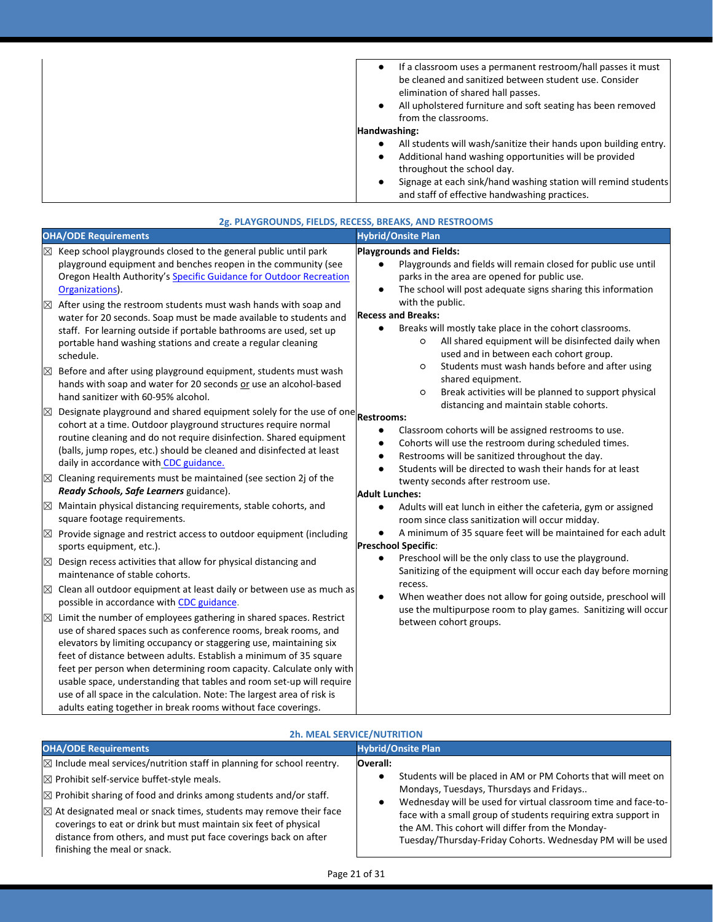| If a classroom uses a permanent restroom/hall passes it must<br>be cleaned and sanitized between student use. Consider |
|------------------------------------------------------------------------------------------------------------------------|
| elimination of shared hall passes.                                                                                     |
| All upholstered furniture and soft seating has been removed<br>$\bullet$                                               |
| from the classrooms.                                                                                                   |
| Handwashing:                                                                                                           |
| All students will wash/sanitize their hands upon building entry.                                                       |
| Additional hand washing opportunities will be provided<br>$\bullet$                                                    |
| throughout the school day.                                                                                             |
| Signage at each sink/hand washing station will remind students<br>$\bullet$                                            |
| and staff of effective handwashing practices.                                                                          |

| <b>Hybrid/Onsite Plan</b>                                                                                                                                                                                                                                                                                                                                                                                                                                                                                                                                                                                                                                                                                                                                                                                                                                                                                                                                                                                                                                                                                                                                                                                                                                                                                                                                                                                                                                                                                                                                                                                                                                                         |
|-----------------------------------------------------------------------------------------------------------------------------------------------------------------------------------------------------------------------------------------------------------------------------------------------------------------------------------------------------------------------------------------------------------------------------------------------------------------------------------------------------------------------------------------------------------------------------------------------------------------------------------------------------------------------------------------------------------------------------------------------------------------------------------------------------------------------------------------------------------------------------------------------------------------------------------------------------------------------------------------------------------------------------------------------------------------------------------------------------------------------------------------------------------------------------------------------------------------------------------------------------------------------------------------------------------------------------------------------------------------------------------------------------------------------------------------------------------------------------------------------------------------------------------------------------------------------------------------------------------------------------------------------------------------------------------|
| <b>Playgrounds and Fields:</b><br>Playgrounds and fields will remain closed for public use until<br>parks in the area are opened for public use.<br>The school will post adequate signs sharing this information<br>$\bullet$<br>with the public.<br><b>Recess and Breaks:</b><br>Breaks will mostly take place in the cohort classrooms.<br>$\bullet$<br>All shared equipment will be disinfected daily when<br>$\circ$<br>used and in between each cohort group.<br>Students must wash hands before and after using<br>$\circ$<br>shared equipment.<br>Break activities will be planned to support physical<br>$\circ$<br>distancing and maintain stable cohorts.<br>Designate playground and shared equipment solely for the use of one Restrooms:<br>Classroom cohorts will be assigned restrooms to use.<br>$\bullet$<br>Cohorts will use the restroom during scheduled times.<br>$\bullet$<br>Restrooms will be sanitized throughout the day.<br>$\bullet$<br>Students will be directed to wash their hands for at least<br>$\bullet$<br>twenty seconds after restroom use.<br>Adult Lunches:<br>Adults will eat lunch in either the cafeteria, gym or assigned<br>$\bullet$<br>room since class sanitization will occur midday.<br>A minimum of 35 square feet will be maintained for each adult<br>$\bullet$<br><b>Preschool Specific:</b><br>Preschool will be the only class to use the playground.<br>$\bullet$<br>Sanitizing of the equipment will occur each day before morning<br>recess.<br>When weather does not allow for going outside, preschool will<br>$\bullet$<br>use the multipurpose room to play games. Sanitizing will occur<br>between cohort groups. |
|                                                                                                                                                                                                                                                                                                                                                                                                                                                                                                                                                                                                                                                                                                                                                                                                                                                                                                                                                                                                                                                                                                                                                                                                                                                                                                                                                                                                                                                                                                                                                                                                                                                                                   |
|                                                                                                                                                                                                                                                                                                                                                                                                                                                                                                                                                                                                                                                                                                                                                                                                                                                                                                                                                                                                                                                                                                                                                                                                                                                                                                                                                                                                                                                                                                                                                                                                                                                                                   |

| <b>2h. MEAL SERVICE/NUTRITION</b>                                                                                                                                                                                                                                                                                                                                                                                                                                                  |                                                                                                                                                                                                                                                                                                                                                                                                      |  |
|------------------------------------------------------------------------------------------------------------------------------------------------------------------------------------------------------------------------------------------------------------------------------------------------------------------------------------------------------------------------------------------------------------------------------------------------------------------------------------|------------------------------------------------------------------------------------------------------------------------------------------------------------------------------------------------------------------------------------------------------------------------------------------------------------------------------------------------------------------------------------------------------|--|
| <b>OHA/ODE Requirements</b>                                                                                                                                                                                                                                                                                                                                                                                                                                                        | <b>Hybrid/Onsite Plan</b>                                                                                                                                                                                                                                                                                                                                                                            |  |
| $\boxtimes$ Include meal services/nutrition staff in planning for school reentry.<br>$\boxtimes$ Prohibit self-service buffet-style meals.<br>$\boxtimes$ Prohibit sharing of food and drinks among students and/or staff.<br>$\boxtimes$ At designated meal or snack times, students may remove their face<br>coverings to eat or drink but must maintain six feet of physical<br>distance from others, and must put face coverings back on after<br>finishing the meal or snack. | <b>Overall:</b><br>Students will be placed in AM or PM Cohorts that will meet on<br>$\bullet$<br>Mondays, Tuesdays, Thursdays and Fridays<br>Wednesday will be used for virtual classroom time and face-to-<br>٠<br>face with a small group of students requiring extra support in<br>the AM. This cohort will differ from the Monday-<br>Tuesday/Thursday-Friday Cohorts. Wednesday PM will be used |  |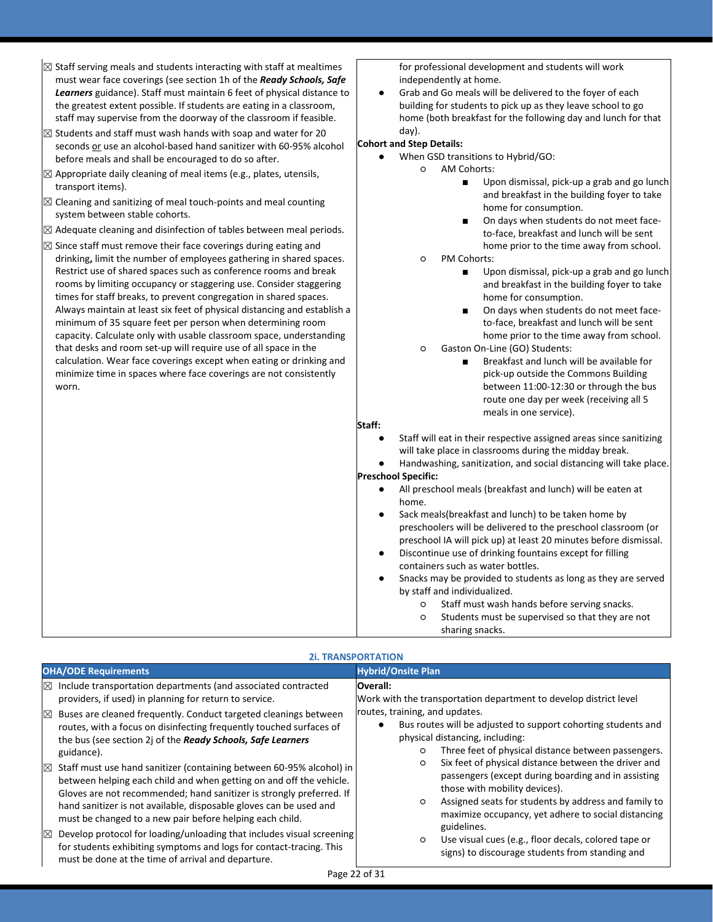| $\boxtimes$ Staff serving meals and students interacting with staff at mealtimes<br>must wear face coverings (see section 1h of the Ready Schools, Safe<br>Learners guidance). Staff must maintain 6 feet of physical distance to<br>the greatest extent possible. If students are eating in a classroom,<br>staff may supervise from the doorway of the classroom if feasible.<br>$\boxtimes$ Students and staff must wash hands with soap and water for 20<br>seconds or use an alcohol-based hand sanitizer with 60-95% alcohol<br>before meals and shall be encouraged to do so after.<br>$\boxtimes$ Appropriate daily cleaning of meal items (e.g., plates, utensils,<br>transport items).<br>$\boxtimes$ Cleaning and sanitizing of meal touch-points and meal counting<br>system between stable cohorts.<br>$\boxtimes$ Adequate cleaning and disinfection of tables between meal periods.<br>$\boxtimes$ Since staff must remove their face coverings during eating and<br>drinking, limit the number of employees gathering in shared spaces.<br>Restrict use of shared spaces such as conference rooms and break<br>rooms by limiting occupancy or staggering use. Consider staggering<br>times for staff breaks, to prevent congregation in shared spaces.<br>Always maintain at least six feet of physical distancing and establish a<br>minimum of 35 square feet per person when determining room<br>capacity. Calculate only with usable classroom space, understanding<br>that desks and room set-up will require use of all space in the<br>calculation. Wear face coverings except when eating or drinking and<br>minimize time in spaces where face coverings are not consistently<br>worn. | for professional development and students will work<br>independently at home.<br>Grab and Go meals will be delivered to the foyer of each<br>$\bullet$<br>building for students to pick up as they leave school to go<br>home (both breakfast for the following day and lunch for that<br>day).<br><b>Cohort and Step Details:</b><br>When GSD transitions to Hybrid/GO:<br><b>AM Cohorts:</b><br>$\circ$<br>Upon dismissal, pick-up a grab and go lunch<br>$\blacksquare$<br>and breakfast in the building foyer to take<br>home for consumption.<br>On days when students do not meet face-<br>$\blacksquare$<br>to-face, breakfast and lunch will be sent<br>home prior to the time away from school.<br>PM Cohorts:<br>$\circ$<br>Upon dismissal, pick-up a grab and go lunch<br>٠<br>and breakfast in the building foyer to take<br>home for consumption.<br>On days when students do not meet face-<br>$\blacksquare$<br>to-face, breakfast and lunch will be sent<br>home prior to the time away from school.<br>Gaston On-Line (GO) Students:<br>$\circ$<br>Breakfast and lunch will be available for<br>$\blacksquare$<br>pick-up outside the Commons Building<br>between 11:00-12:30 or through the bus<br>route one day per week (receiving all 5 |
|-----------------------------------------------------------------------------------------------------------------------------------------------------------------------------------------------------------------------------------------------------------------------------------------------------------------------------------------------------------------------------------------------------------------------------------------------------------------------------------------------------------------------------------------------------------------------------------------------------------------------------------------------------------------------------------------------------------------------------------------------------------------------------------------------------------------------------------------------------------------------------------------------------------------------------------------------------------------------------------------------------------------------------------------------------------------------------------------------------------------------------------------------------------------------------------------------------------------------------------------------------------------------------------------------------------------------------------------------------------------------------------------------------------------------------------------------------------------------------------------------------------------------------------------------------------------------------------------------------------------------------------------------------------------------------------------------------------------|--------------------------------------------------------------------------------------------------------------------------------------------------------------------------------------------------------------------------------------------------------------------------------------------------------------------------------------------------------------------------------------------------------------------------------------------------------------------------------------------------------------------------------------------------------------------------------------------------------------------------------------------------------------------------------------------------------------------------------------------------------------------------------------------------------------------------------------------------------------------------------------------------------------------------------------------------------------------------------------------------------------------------------------------------------------------------------------------------------------------------------------------------------------------------------------------------------------------------------------------------------------|
|                                                                                                                                                                                                                                                                                                                                                                                                                                                                                                                                                                                                                                                                                                                                                                                                                                                                                                                                                                                                                                                                                                                                                                                                                                                                                                                                                                                                                                                                                                                                                                                                                                                                                                                 | meals in one service).                                                                                                                                                                                                                                                                                                                                                                                                                                                                                                                                                                                                                                                                                                                                                                                                                                                                                                                                                                                                                                                                                                                                                                                                                                       |
|                                                                                                                                                                                                                                                                                                                                                                                                                                                                                                                                                                                                                                                                                                                                                                                                                                                                                                                                                                                                                                                                                                                                                                                                                                                                                                                                                                                                                                                                                                                                                                                                                                                                                                                 | Staff:                                                                                                                                                                                                                                                                                                                                                                                                                                                                                                                                                                                                                                                                                                                                                                                                                                                                                                                                                                                                                                                                                                                                                                                                                                                       |
|                                                                                                                                                                                                                                                                                                                                                                                                                                                                                                                                                                                                                                                                                                                                                                                                                                                                                                                                                                                                                                                                                                                                                                                                                                                                                                                                                                                                                                                                                                                                                                                                                                                                                                                 | Staff will eat in their respective assigned areas since sanitizing<br>$\bullet$<br>will take place in classrooms during the midday break.<br>Handwashing, sanitization, and social distancing will take place.<br><b>Preschool Specific:</b>                                                                                                                                                                                                                                                                                                                                                                                                                                                                                                                                                                                                                                                                                                                                                                                                                                                                                                                                                                                                                 |
|                                                                                                                                                                                                                                                                                                                                                                                                                                                                                                                                                                                                                                                                                                                                                                                                                                                                                                                                                                                                                                                                                                                                                                                                                                                                                                                                                                                                                                                                                                                                                                                                                                                                                                                 | $\bullet$<br>All preschool meals (breakfast and lunch) will be eaten at<br>home.                                                                                                                                                                                                                                                                                                                                                                                                                                                                                                                                                                                                                                                                                                                                                                                                                                                                                                                                                                                                                                                                                                                                                                             |
|                                                                                                                                                                                                                                                                                                                                                                                                                                                                                                                                                                                                                                                                                                                                                                                                                                                                                                                                                                                                                                                                                                                                                                                                                                                                                                                                                                                                                                                                                                                                                                                                                                                                                                                 | Sack meals (breakfast and lunch) to be taken home by<br>preschoolers will be delivered to the preschool classroom (or<br>preschool IA will pick up) at least 20 minutes before dismissal.<br>Discontinue use of drinking fountains except for filling<br>containers such as water bottles.<br>Snacks may be provided to students as long as they are served<br>by staff and individualized.<br>Staff must wash hands before serving snacks.<br>$\circ$<br>Students must be supervised so that they are not<br>$\circ$<br>sharing snacks.                                                                                                                                                                                                                                                                                                                                                                                                                                                                                                                                                                                                                                                                                                                     |

### **2i. TRANSPORTATION**

| <b>OHA/ODE Requirements</b> |                                                                                                                                                                                                                                                                                                                                                       | <b>Hybrid/Onsite Plan</b>                                                                                                                                                                                                                                             |
|-----------------------------|-------------------------------------------------------------------------------------------------------------------------------------------------------------------------------------------------------------------------------------------------------------------------------------------------------------------------------------------------------|-----------------------------------------------------------------------------------------------------------------------------------------------------------------------------------------------------------------------------------------------------------------------|
| $\times$<br>$\mathbb{X}$    | Include transportation departments (and associated contracted<br>providers, if used) in planning for return to service.<br>Buses are cleaned frequently. Conduct targeted cleanings between                                                                                                                                                           | Overall:<br>Work with the transportation department to develop district level<br>routes, training, and updates.                                                                                                                                                       |
|                             | routes, with a focus on disinfecting frequently touched surfaces of<br>the bus (see section 2j of the Ready Schools, Safe Learners<br>guidance).                                                                                                                                                                                                      | Bus routes will be adjusted to support cohorting students and<br>physical distancing, including:<br>Three feet of physical distance between passengers.<br>O                                                                                                          |
| IX                          | Staff must use hand sanitizer (containing between 60-95% alcohol) in<br>between helping each child and when getting on and off the vehicle.<br>Gloves are not recommended; hand sanitizer is strongly preferred. If<br>hand sanitizer is not available, disposable gloves can be used and<br>must be changed to a new pair before helping each child. | Six feet of physical distance between the driver and<br>O<br>passengers (except during boarding and in assisting<br>those with mobility devices).<br>Assigned seats for students by address and family to<br>O<br>maximize occupancy, yet adhere to social distancing |
| $\boxtimes$                 | Develop protocol for loading/unloading that includes visual screening<br>for students exhibiting symptoms and logs for contact-tracing. This<br>must be done at the time of arrival and departure.                                                                                                                                                    | guidelines.<br>Use visual cues (e.g., floor decals, colored tape or<br>O<br>signs) to discourage students from standing and                                                                                                                                           |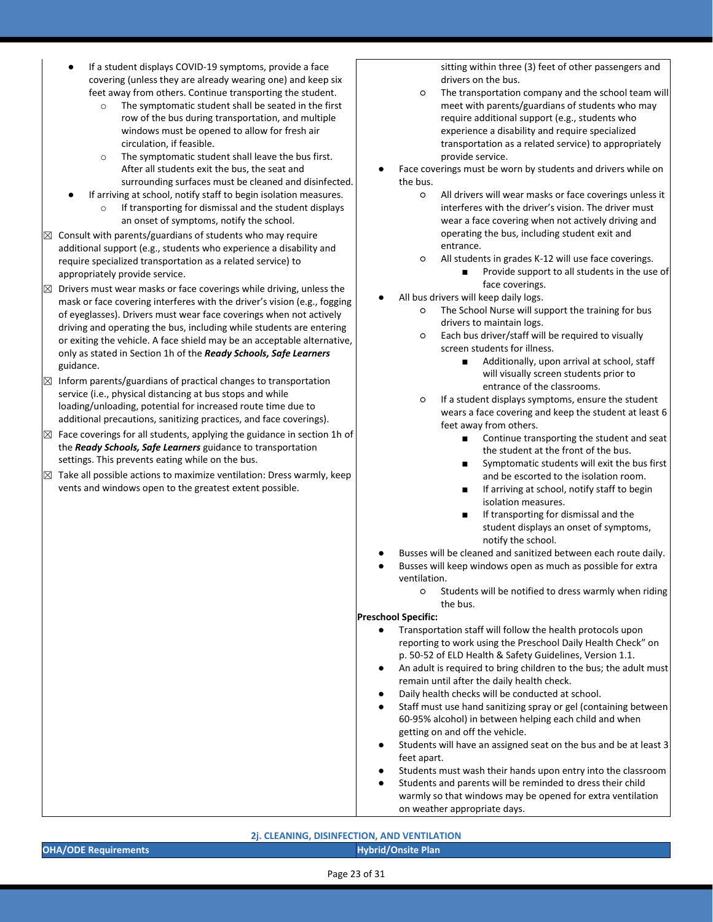- If a student displays COVID-19 symptoms, provide a face covering (unless they are already wearing one) and keep six feet away from others. Continue transporting the student.
	- o The symptomatic student shall be seated in the first row of the bus during transportation, and multiple windows must be opened to allow for fresh air circulation, if feasible.
	- o The symptomatic student shall leave the bus first. After all students exit the bus, the seat and surrounding surfaces must be cleaned and disinfected.
- If arriving at school, notify staff to begin isolation measures. o If transporting for dismissal and the student displays an onset of symptoms, notify the school.
- $\boxtimes$  Consult with parents/guardians of students who may require additional support (e.g., students who experience a disability and require specialized transportation as a related service) to appropriately provide service.
- $\boxtimes$  Drivers must wear masks or face coverings while driving, unless the mask or face covering interferes with the driver's vision (e.g., fogging of eyeglasses). Drivers must wear face coverings when not actively driving and operating the bus, including while students are entering or exiting the vehicle. A face shield may be an acceptable alternative, only as stated in Section 1h of the *Ready Schools, Safe Learners* guidance.
- $\boxtimes$  Inform parents/guardians of practical changes to transportation service (i.e., physical distancing at bus stops and while loading/unloading, potential for increased route time due to additional precautions, sanitizing practices, and face coverings).
- $\boxtimes$  Face coverings for all students, applying the guidance in section 1h of the *Ready Schools, Safe Learners* guidance to transportation settings. This prevents eating while on the bus.
- $\boxtimes$  Take all possible actions to maximize ventilation: Dress warmly, keep vents and windows open to the greatest extent possible.

sitting within three (3) feet of other passengers and drivers on the bus.

- The transportation company and the school team will meet with parents/guardians of students who may require additional support (e.g., students who experience a disability and require specialized transportation as a related service) to appropriately provide service.
- Face coverings must be worn by students and drivers while on the bus.
	- All drivers will wear masks or face coverings unless it interferes with the driver's vision. The driver must wear a face covering when not actively driving and operating the bus, including student exit and entrance.
	- All students in grades K-12 will use face coverings.
		- Provide support to all students in the use of face coverings.
- All bus drivers will keep daily logs.
	- The School Nurse will support the training for bus drivers to maintain logs.
	- Each bus driver/staff will be required to visually screen students for illness.
		- Additionally, upon arrival at school, staff will visually screen students prior to entrance of the classrooms.
	- If a student displays symptoms, ensure the student wears a face covering and keep the student at least 6 feet away from others.
		- Continue transporting the student and seat the student at the front of the bus.
		- Symptomatic students will exit the bus first and be escorted to the isolation room.
		- If arriving at school, notify staff to begin isolation measures.
		- If transporting for dismissal and the student displays an onset of symptoms, notify the school.
- Busses will be cleaned and sanitized between each route daily.
- Busses will keep windows open as much as possible for extra ventilation.
	- Students will be notified to dress warmly when riding the bus.

### **Preschool Specific:**

- Transportation staff will follow the health protocols upon reporting to work using the Preschool Daily Health Check" on p. 50-52 of ELD Health & Safety Guidelines, Version 1.1.
- An adult is required to bring children to the bus; the adult must remain until after the daily health check.
- Daily health checks will be conducted at school.
- Staff must use hand sanitizing spray or gel (containing between 60-95% alcohol) in between helping each child and when getting on and off the vehicle.
- Students will have an assigned seat on the bus and be at least 3 feet apart.
- Students must wash their hands upon entry into the classroom
- Students and parents will be reminded to dress their child warmly so that windows may be opened for extra ventilation on weather appropriate days.
- **2j. CLEANING, DISINFECTION, AND VENTILATION OHA/ODE Requirements CONSIDERATION CONSIDERING THE CONSIDERING TO A REPORT OF A REPORT OF A REPORT OF A REPORT OF A REPORT OF A REPORT OF A REPORT OF A REPORT OF A REPORT OF A REPORT OF A REPORT OF A REPORT OF A REPORT**

Page 23 of 31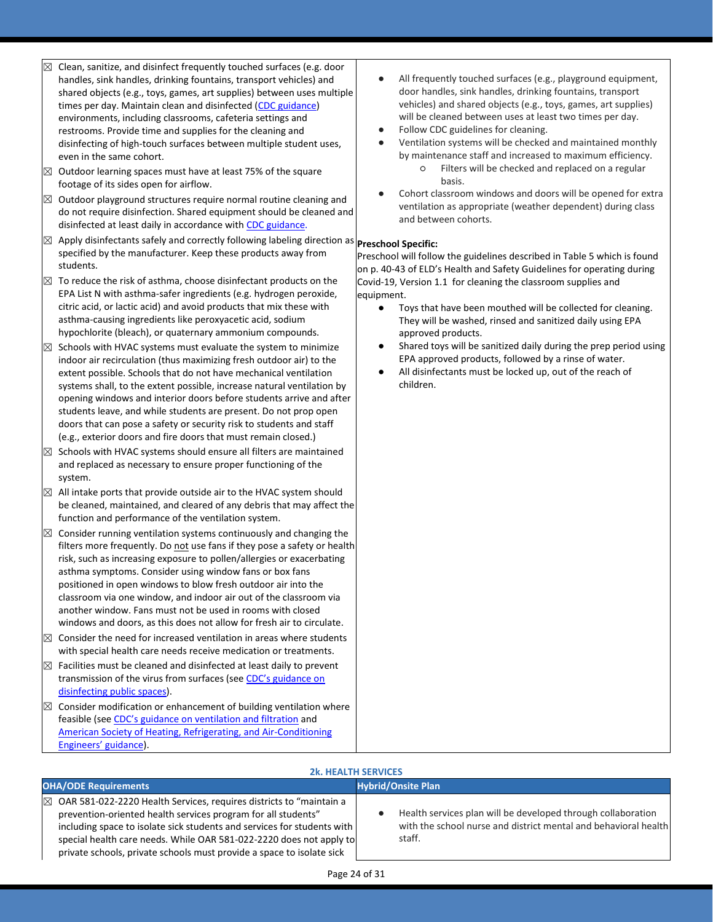- ☒ Clean, sanitize, and disinfect frequently touched surfaces (e.g. door handles, sink handles, drinking fountains, transport vehicles) and shared objects (e.g., toys, games, art supplies) between uses multiple times per day. Maintain clean and disinfected (CDC guidance) environments, including classrooms, cafeteria settings and restrooms. Provide time and supplies for the cleaning and disinfecting of high-touch surfaces between multiple student uses, even in the same cohort.
- $\boxtimes$  Outdoor learning spaces must have at least 75% of the square footage of its sides open for airflow.
- $\boxtimes$  Outdoor playground structures require normal routine cleaning and do not require disinfection. Shared equipment should be cleaned and disinfected at least daily in accordance with [CDC guidance.](https://www.cdc.gov/coronavirus/2019-ncov/community/clean-disinfect/index.html)
- ⊠ Apply disinfectants safely and correctly following labeling direction as **Preschool Specific:** specified by the manufacturer. Keep these products away from students.
- $\boxtimes$  To reduce the risk of asthma, choose disinfectant products on the EPA List N with asthma-safer ingredients (e.g. hydrogen peroxide, citric acid, or lactic acid) and avoid products that mix these with asthma-causing ingredients like peroxyacetic acid, sodium hypochlorite (bleach), or quaternary ammonium compounds.
- $\boxtimes$  Schools with HVAC systems must evaluate the system to minimize indoor air recirculation (thus maximizing fresh outdoor air) to the extent possible. Schools that do not have mechanical ventilation systems shall, to the extent possible, increase natural ventilation by opening windows and interior doors before students arrive and after students leave, and while students are present. Do not prop open doors that can pose a safety or security risk to students and staff (e.g., exterior doors and fire doors that must remain closed.)
- $\boxtimes$  Schools with HVAC systems should ensure all filters are maintained and replaced as necessary to ensure proper functioning of the system.
- $\boxtimes$  All intake ports that provide outside air to the HVAC system should be cleaned, maintained, and cleared of any debris that may affect the function and performance of the ventilation system.
- $\boxtimes$  Consider running ventilation systems continuously and changing the filters more frequently. Do not use fans if they pose a safety or health risk, such as increasing exposure to pollen/allergies or exacerbating asthma symptoms. Consider using window fans or box fans positioned in open windows to blow fresh outdoor air into the classroom via one window, and indoor air out of the classroom via another window. Fans must not be used in rooms with closed windows and doors, as this does not allow for fresh air to circulate.
- $\boxtimes$  Consider the need for increased ventilation in areas where students with special health care needs receive medication or treatments.
- $\boxtimes$  Facilities must be cleaned and disinfected at least daily to prevent transmission of the virus from surfaces (see CDC's guidance on [disinfecting public spaces\)](https://www.cdc.gov/coronavirus/2019-ncov/community/reopen-guidance.html).
- $\boxtimes$  Consider modification or enhancement of building ventilation where feasible (see [CDC's guidance on ventilation and filtration](https://www.cdc.gov/coronavirus/2019-ncov/community/guidance-business-response.html) and [American Society of Heating, Refrigerating, and Air-Conditioning](https://www.ashrae.org/news/ashraejournal/guidance-for-building-operations-during-the-covid-19-pandemic)  [Engineers' guidance](https://www.ashrae.org/news/ashraejournal/guidance-for-building-operations-during-the-covid-19-pandemic)).
- All frequently touched surfaces (e.g., playground equipment, door handles, sink handles, drinking fountains, transport vehicles) and shared objects (e.g., toys, games, art supplies) will be cleaned between uses at least two times per day.
- Follow CDC guidelines for cleaning.
- Ventilation systems will be checked and maintained monthly by maintenance staff and increased to maximum efficiency.
	- Filters will be checked and replaced on a regular basis.
- Cohort classroom windows and doors will be opened for extra ventilation as appropriate (weather dependent) during class and between cohorts.

Preschool will follow the guidelines described in Table 5 which is found on p. 40-43 of ELD's Health and Safety Guidelines for operating during Covid-19, Version 1.1 for cleaning the classroom supplies and equipment.

- Toys that have been mouthed will be collected for cleaning. They will be washed, rinsed and sanitized daily using EPA approved products.
- Shared toys will be sanitized daily during the prep period using EPA approved products, followed by a rinse of water.
- All disinfectants must be locked up, out of the reach of children.

## **2k. HEALTH SERVICES**

| <b>OHA/ODE Requirements</b>                                                                                                                                                                                                                                                                                                                                                 | <b>Hybrid/Onsite Plan</b>                                                                                                                 |  |
|-----------------------------------------------------------------------------------------------------------------------------------------------------------------------------------------------------------------------------------------------------------------------------------------------------------------------------------------------------------------------------|-------------------------------------------------------------------------------------------------------------------------------------------|--|
| $\boxtimes$ OAR 581-022-2220 Health Services, requires districts to "maintain a<br>prevention-oriented health services program for all students"<br>including space to isolate sick students and services for students with<br>special health care needs. While OAR 581-022-2220 does not apply to<br>private schools, private schools must provide a space to isolate sick | Health services plan will be developed through collaboration<br>with the school nurse and district mental and behavioral health<br>staff. |  |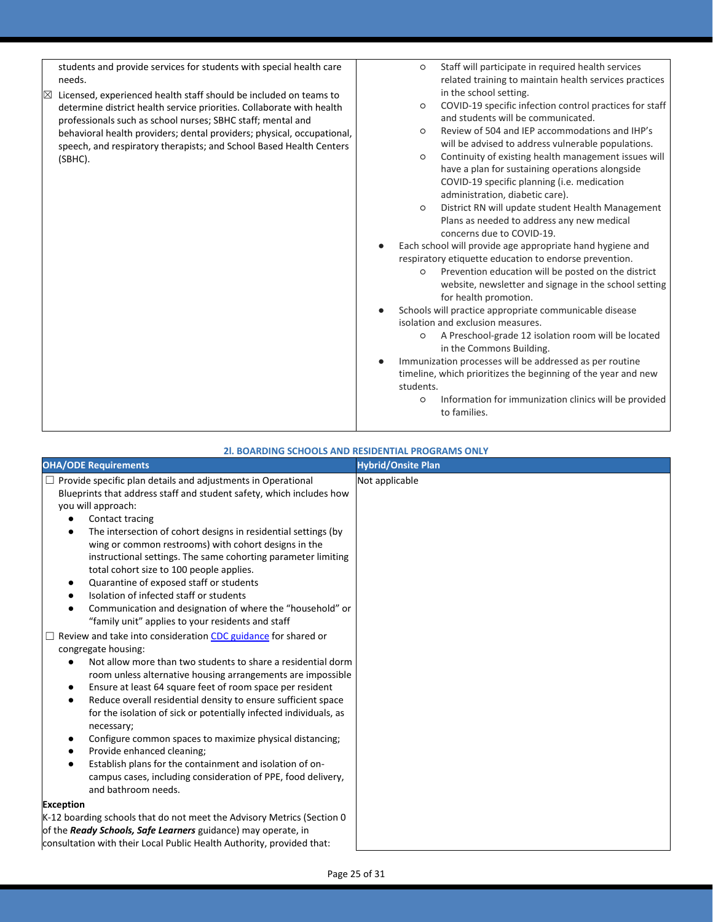| students and provide services for students with special health care    | Staff will participate in required health services<br>$\circ$      |
|------------------------------------------------------------------------|--------------------------------------------------------------------|
| needs.                                                                 | related training to maintain health services practices             |
| Licensed, experienced health staff should be included on teams to      | in the school setting.                                             |
| determine district health service priorities. Collaborate with health  | COVID-19 specific infection control practices for staff<br>$\circ$ |
| professionals such as school nurses; SBHC staff; mental and            | and students will be communicated.                                 |
| behavioral health providers; dental providers; physical, occupational, | Review of 504 and IEP accommodations and IHP's<br>$\circ$          |
| speech, and respiratory therapists; and School Based Health Centers    | will be advised to address vulnerable populations.                 |
| (SBHC).                                                                | Continuity of existing health management issues will<br>$\circ$    |
|                                                                        | have a plan for sustaining operations alongside                    |
|                                                                        | COVID-19 specific planning (i.e. medication                        |
|                                                                        | administration, diabetic care).                                    |
|                                                                        | District RN will update student Health Management<br>$\circ$       |
|                                                                        | Plans as needed to address any new medical                         |
|                                                                        | concerns due to COVID-19.                                          |
|                                                                        | Each school will provide age appropriate hand hygiene and          |
|                                                                        | respiratory etiquette education to endorse prevention.             |
|                                                                        | Prevention education will be posted on the district<br>O           |
|                                                                        | website, newsletter and signage in the school setting              |
|                                                                        | for health promotion.                                              |
|                                                                        | Schools will practice appropriate communicable disease             |
|                                                                        | isolation and exclusion measures.                                  |
|                                                                        | A Preschool-grade 12 isolation room will be located<br>$\circ$     |
|                                                                        | in the Commons Building.                                           |
|                                                                        | Immunization processes will be addressed as per routine            |
|                                                                        | timeline, which prioritizes the beginning of the year and new      |
|                                                                        | students.                                                          |
|                                                                        | Information for immunization clinics will be provided<br>O         |
|                                                                        | to families.                                                       |
|                                                                        |                                                                    |

## **2l. BOARDING SCHOOLS AND RESIDENTIAL PROGRAMS ONLY**

| <b>OHA/ODE Requirements</b>                                                     | <b>Hybrid/Onsite Plan</b> |
|---------------------------------------------------------------------------------|---------------------------|
| $\Box$ Provide specific plan details and adjustments in Operational             | Not applicable            |
| Blueprints that address staff and student safety, which includes how            |                           |
| you will approach:                                                              |                           |
| Contact tracing                                                                 |                           |
| The intersection of cohort designs in residential settings (by<br>$\bullet$     |                           |
| wing or common restrooms) with cohort designs in the                            |                           |
| instructional settings. The same cohorting parameter limiting                   |                           |
| total cohort size to 100 people applies.                                        |                           |
| Quarantine of exposed staff or students<br>٠                                    |                           |
| Isolation of infected staff or students                                         |                           |
| Communication and designation of where the "household" or                       |                           |
| "family unit" applies to your residents and staff                               |                           |
| Review and take into consideration CDC guidance for shared or                   |                           |
| congregate housing:                                                             |                           |
| Not allow more than two students to share a residential dorm<br>$\bullet$       |                           |
| room unless alternative housing arrangements are impossible                     |                           |
| Ensure at least 64 square feet of room space per resident<br>٠                  |                           |
| Reduce overall residential density to ensure sufficient space<br>٠              |                           |
| for the isolation of sick or potentially infected individuals, as<br>necessary; |                           |
| Configure common spaces to maximize physical distancing;<br>٠                   |                           |
| Provide enhanced cleaning;                                                      |                           |
| Establish plans for the containment and isolation of on-<br>$\bullet$           |                           |
| campus cases, including consideration of PPE, food delivery,                    |                           |
| and bathroom needs.                                                             |                           |
| <b>Exception</b>                                                                |                           |
| K-12 boarding schools that do not meet the Advisory Metrics (Section 0          |                           |
| of the Ready Schools, Safe Learners guidance) may operate, in                   |                           |
| consultation with their Local Public Health Authority, provided that:           |                           |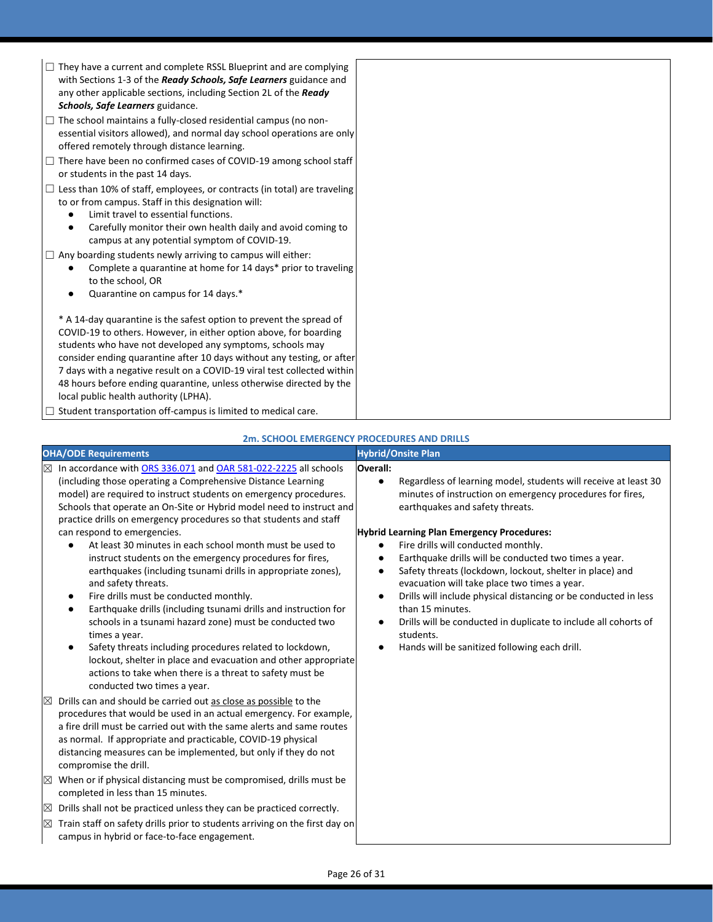| $\Box$ They have a current and complete RSSL Blueprint and are complying<br>with Sections 1-3 of the Ready Schools, Safe Learners guidance and<br>any other applicable sections, including Section 2L of the Ready<br>Schools, Safe Learners guidance.                                                                                                                                                                                                                     |  |
|----------------------------------------------------------------------------------------------------------------------------------------------------------------------------------------------------------------------------------------------------------------------------------------------------------------------------------------------------------------------------------------------------------------------------------------------------------------------------|--|
| $\Box$ The school maintains a fully-closed residential campus (no non-<br>essential visitors allowed), and normal day school operations are only<br>offered remotely through distance learning.                                                                                                                                                                                                                                                                            |  |
| $\Box$ There have been no confirmed cases of COVID-19 among school staff<br>or students in the past 14 days.                                                                                                                                                                                                                                                                                                                                                               |  |
| $\Box$ Less than 10% of staff, employees, or contracts (in total) are traveling<br>to or from campus. Staff in this designation will:<br>Limit travel to essential functions.<br>Carefully monitor their own health daily and avoid coming to<br>$\bullet$<br>campus at any potential symptom of COVID-19.                                                                                                                                                                 |  |
| $\Box$ Any boarding students newly arriving to campus will either:<br>Complete a quarantine at home for 14 days* prior to traveling<br>to the school, OR<br>Quarantine on campus for 14 days.*                                                                                                                                                                                                                                                                             |  |
| * A 14-day quarantine is the safest option to prevent the spread of<br>COVID-19 to others. However, in either option above, for boarding<br>students who have not developed any symptoms, schools may<br>consider ending quarantine after 10 days without any testing, or after<br>7 days with a negative result on a COVID-19 viral test collected within<br>48 hours before ending quarantine, unless otherwise directed by the<br>local public health authority (LPHA). |  |
| $\Box$ Student transportation off-campus is limited to medical care.                                                                                                                                                                                                                                                                                                                                                                                                       |  |

|             | <b>OHA/ODE Requirements</b>                                                                                                                                                                                                                                                                                                                                                                                                                                                                                                                                                                                                                                                                              |                                          | <b>Hybrid/Onsite Plan</b>                                                                                                                                                                                                                                                                                                                                                                                                                                                             |
|-------------|----------------------------------------------------------------------------------------------------------------------------------------------------------------------------------------------------------------------------------------------------------------------------------------------------------------------------------------------------------------------------------------------------------------------------------------------------------------------------------------------------------------------------------------------------------------------------------------------------------------------------------------------------------------------------------------------------------|------------------------------------------|---------------------------------------------------------------------------------------------------------------------------------------------------------------------------------------------------------------------------------------------------------------------------------------------------------------------------------------------------------------------------------------------------------------------------------------------------------------------------------------|
|             | $\boxtimes$ In accordance with ORS 336.071 and OAR 581-022-2225 all schools<br>(including those operating a Comprehensive Distance Learning<br>model) are required to instruct students on emergency procedures.<br>Schools that operate an On-Site or Hybrid model need to instruct and<br>practice drills on emergency procedures so that students and staff                                                                                                                                                                                                                                                                                                                                           | Overall:                                 | Regardless of learning model, students will receive at least 30<br>minutes of instruction on emergency procedures for fires,<br>earthquakes and safety threats.                                                                                                                                                                                                                                                                                                                       |
|             | can respond to emergencies.<br>At least 30 minutes in each school month must be used to<br>$\bullet$<br>instruct students on the emergency procedures for fires,<br>earthquakes (including tsunami drills in appropriate zones),<br>and safety threats.<br>Fire drills must be conducted monthly.<br>٠<br>Earthquake drills (including tsunami drills and instruction for<br>$\bullet$<br>schools in a tsunami hazard zone) must be conducted two<br>times a year.<br>Safety threats including procedures related to lockdown,<br>$\bullet$<br>lockout, shelter in place and evacuation and other appropriate<br>actions to take when there is a threat to safety must be<br>conducted two times a year. | $\bullet$<br>٠<br>$\bullet$<br>$\bullet$ | <b>Hybrid Learning Plan Emergency Procedures:</b><br>Fire drills will conducted monthly.<br>Earthquake drills will be conducted two times a year.<br>Safety threats (lockdown, lockout, shelter in place) and<br>evacuation will take place two times a year.<br>Drills will include physical distancing or be conducted in less<br>than 15 minutes.<br>Drills will be conducted in duplicate to include all cohorts of<br>students.<br>Hands will be sanitized following each drill. |
|             | Drills can and should be carried out as close as possible to the<br>procedures that would be used in an actual emergency. For example,<br>a fire drill must be carried out with the same alerts and same routes<br>as normal. If appropriate and practicable, COVID-19 physical<br>distancing measures can be implemented, but only if they do not<br>compromise the drill.                                                                                                                                                                                                                                                                                                                              |                                          |                                                                                                                                                                                                                                                                                                                                                                                                                                                                                       |
| $\boxtimes$ | When or if physical distancing must be compromised, drills must be<br>completed in less than 15 minutes.                                                                                                                                                                                                                                                                                                                                                                                                                                                                                                                                                                                                 |                                          |                                                                                                                                                                                                                                                                                                                                                                                                                                                                                       |
| $\boxtimes$ | Drills shall not be practiced unless they can be practiced correctly.                                                                                                                                                                                                                                                                                                                                                                                                                                                                                                                                                                                                                                    |                                          |                                                                                                                                                                                                                                                                                                                                                                                                                                                                                       |
| $\boxtimes$ | Train staff on safety drills prior to students arriving on the first day on<br>campus in hybrid or face-to-face engagement.                                                                                                                                                                                                                                                                                                                                                                                                                                                                                                                                                                              |                                          |                                                                                                                                                                                                                                                                                                                                                                                                                                                                                       |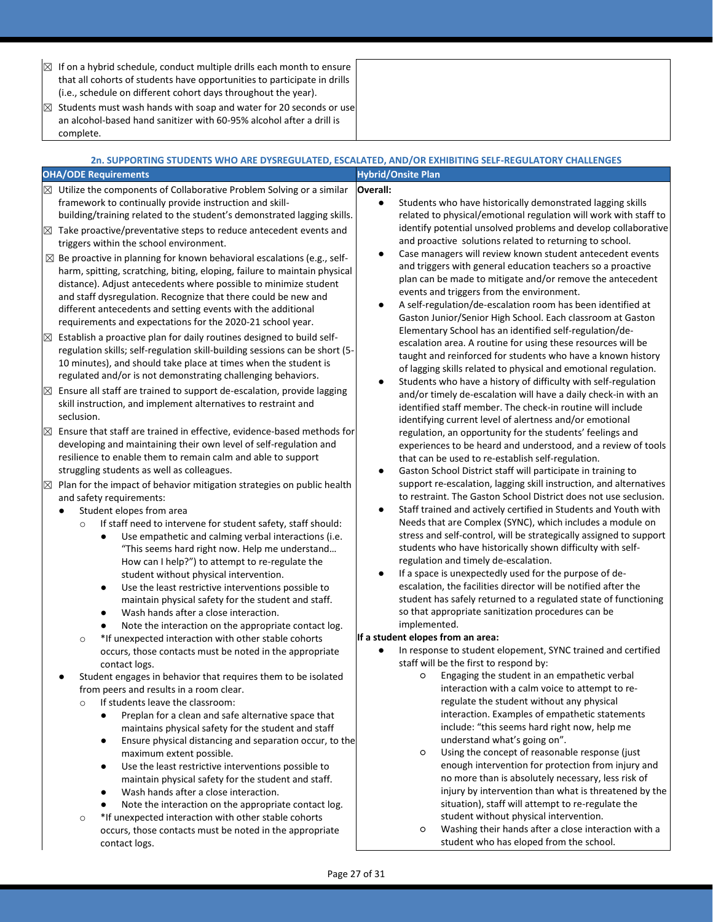| $\times$    | If on a hybrid schedule, conduct multiple drills each month to ensure<br>that all cohorts of students have opportunities to participate in drills<br>(i.e., schedule on different cohort days throughout the year).<br>Students must wash hands with soap and water for 20 seconds or use |                                                                                                                                         |
|-------------|-------------------------------------------------------------------------------------------------------------------------------------------------------------------------------------------------------------------------------------------------------------------------------------------|-----------------------------------------------------------------------------------------------------------------------------------------|
|             | an alcohol-based hand sanitizer with 60-95% alcohol after a drill is<br>complete.                                                                                                                                                                                                         |                                                                                                                                         |
|             |                                                                                                                                                                                                                                                                                           | 2n. SUPPORTING STUDENTS WHO ARE DYSREGULATED, ESCALATED, AND/OR EXHIBITING SELF-REGULATORY CHALLENGES                                   |
|             | <b>OHA/ODE Requirements</b>                                                                                                                                                                                                                                                               | <b>Hybrid/Onsite Plan</b>                                                                                                               |
|             | $\boxtimes$ Utilize the components of Collaborative Problem Solving or a similar                                                                                                                                                                                                          | Overall:                                                                                                                                |
|             | framework to continually provide instruction and skill-                                                                                                                                                                                                                                   | Students who have historically demonstrated lagging skills<br>$\bullet$                                                                 |
|             | building/training related to the student's demonstrated lagging skills.                                                                                                                                                                                                                   | related to physical/emotional regulation will work with staff to<br>identify potential unsolved problems and develop collaborative      |
| $\boxtimes$ | Take proactive/preventative steps to reduce antecedent events and<br>triggers within the school environment.                                                                                                                                                                              | and proactive solutions related to returning to school.                                                                                 |
|             | $\boxtimes$ Be proactive in planning for known behavioral escalations (e.g., self-                                                                                                                                                                                                        | Case managers will review known student antecedent events<br>٠<br>and triggers with general education teachers so a proactive           |
|             | harm, spitting, scratching, biting, eloping, failure to maintain physical<br>distance). Adjust antecedents where possible to minimize student                                                                                                                                             | plan can be made to mitigate and/or remove the antecedent                                                                               |
|             | and staff dysregulation. Recognize that there could be new and                                                                                                                                                                                                                            | events and triggers from the environment.                                                                                               |
|             | different antecedents and setting events with the additional                                                                                                                                                                                                                              | A self-regulation/de-escalation room has been identified at<br>$\bullet$                                                                |
|             | requirements and expectations for the 2020-21 school year.                                                                                                                                                                                                                                | Gaston Junior/Senior High School. Each classroom at Gaston                                                                              |
| $\times$    | Establish a proactive plan for daily routines designed to build self-                                                                                                                                                                                                                     | Elementary School has an identified self-regulation/de-<br>escalation area. A routine for using these resources will be                 |
|             | regulation skills; self-regulation skill-building sessions can be short (5-                                                                                                                                                                                                               | taught and reinforced for students who have a known history                                                                             |
|             | 10 minutes), and should take place at times when the student is<br>regulated and/or is not demonstrating challenging behaviors.                                                                                                                                                           | of lagging skills related to physical and emotional regulation.                                                                         |
| $\boxtimes$ | Ensure all staff are trained to support de-escalation, provide lagging                                                                                                                                                                                                                    | Students who have a history of difficulty with self-regulation<br>٠                                                                     |
|             | skill instruction, and implement alternatives to restraint and                                                                                                                                                                                                                            | and/or timely de-escalation will have a daily check-in with an<br>identified staff member. The check-in routine will include            |
|             | seclusion.                                                                                                                                                                                                                                                                                | identifying current level of alertness and/or emotional                                                                                 |
| $\boxtimes$ | Ensure that staff are trained in effective, evidence-based methods for                                                                                                                                                                                                                    | regulation, an opportunity for the students' feelings and                                                                               |
|             | developing and maintaining their own level of self-regulation and                                                                                                                                                                                                                         | experiences to be heard and understood, and a review of tools                                                                           |
|             | resilience to enable them to remain calm and able to support                                                                                                                                                                                                                              | that can be used to re-establish self-regulation.                                                                                       |
|             | struggling students as well as colleagues.<br>Plan for the impact of behavior mitigation strategies on public health                                                                                                                                                                      | Gaston School District staff will participate in training to<br>٠<br>support re-escalation, lagging skill instruction, and alternatives |
| $\boxtimes$ | and safety requirements:                                                                                                                                                                                                                                                                  | to restraint. The Gaston School District does not use seclusion.                                                                        |
|             | Student elopes from area                                                                                                                                                                                                                                                                  | Staff trained and actively certified in Students and Youth with<br>٠                                                                    |
|             | If staff need to intervene for student safety, staff should:<br>$\circ$                                                                                                                                                                                                                   | Needs that are Complex (SYNC), which includes a module on                                                                               |
|             | Use empathetic and calming verbal interactions (i.e.<br>$\bullet$                                                                                                                                                                                                                         | stress and self-control, will be strategically assigned to support                                                                      |
|             | "This seems hard right now. Help me understand<br>How can I help?") to attempt to re-regulate the                                                                                                                                                                                         | students who have historically shown difficulty with self-<br>regulation and timely de-escalation.                                      |
|             | student without physical intervention.                                                                                                                                                                                                                                                    | If a space is unexpectedly used for the purpose of de-                                                                                  |
|             | Use the least restrictive interventions possible to<br>٠                                                                                                                                                                                                                                  | escalation, the facilities director will be notified after the                                                                          |
|             | maintain physical safety for the student and staff.                                                                                                                                                                                                                                       | student has safely returned to a regulated state of functioning                                                                         |
|             | Wash hands after a close interaction.<br>$\bullet$                                                                                                                                                                                                                                        | so that appropriate sanitization procedures can be                                                                                      |
|             | Note the interaction on the appropriate contact log.<br>*If unexpected interaction with other stable cohorts<br>$\circ$                                                                                                                                                                   | implemented.<br>If a student elopes from an area:                                                                                       |
|             | occurs, those contacts must be noted in the appropriate                                                                                                                                                                                                                                   | In response to student elopement, SYNC trained and certified<br>$\bullet$                                                               |
|             | contact logs.                                                                                                                                                                                                                                                                             | staff will be the first to respond by:                                                                                                  |
|             | Student engages in behavior that requires them to be isolated                                                                                                                                                                                                                             | Engaging the student in an empathetic verbal<br>O                                                                                       |
|             | from peers and results in a room clear.                                                                                                                                                                                                                                                   | interaction with a calm voice to attempt to re-<br>regulate the student without any physical                                            |
|             | If students leave the classroom:<br>$\circ$<br>Preplan for a clean and safe alternative space that<br>$\bullet$                                                                                                                                                                           | interaction. Examples of empathetic statements                                                                                          |
|             | maintains physical safety for the student and staff                                                                                                                                                                                                                                       | include: "this seems hard right now, help me                                                                                            |
|             | Ensure physical distancing and separation occur, to the<br>٠                                                                                                                                                                                                                              | understand what's going on".                                                                                                            |
|             | maximum extent possible.                                                                                                                                                                                                                                                                  | Using the concept of reasonable response (just<br>O                                                                                     |
|             | Use the least restrictive interventions possible to<br>$\bullet$<br>maintain physical safety for the student and staff.                                                                                                                                                                   | enough intervention for protection from injury and<br>no more than is absolutely necessary, less risk of                                |
|             | Wash hands after a close interaction.<br>$\bullet$                                                                                                                                                                                                                                        | injury by intervention than what is threatened by the                                                                                   |
|             | Note the interaction on the appropriate contact log.                                                                                                                                                                                                                                      | situation), staff will attempt to re-regulate the                                                                                       |
|             | *If unexpected interaction with other stable cohorts<br>$\circ$                                                                                                                                                                                                                           | student without physical intervention.                                                                                                  |
|             | occurs, those contacts must be noted in the appropriate                                                                                                                                                                                                                                   | Washing their hands after a close interaction with a<br>O                                                                               |
|             | contact logs.                                                                                                                                                                                                                                                                             | student who has eloped from the school.                                                                                                 |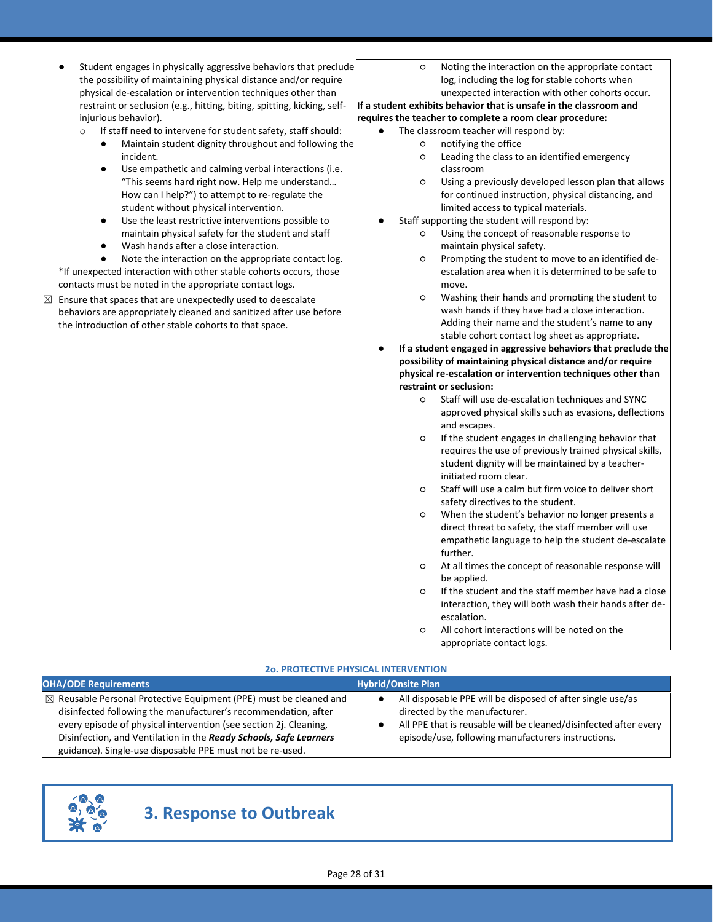| Student engages in physically aggressive behaviors that preclude                                                                | Noting the interaction on the appropriate contact<br>$\circ$                                                |
|---------------------------------------------------------------------------------------------------------------------------------|-------------------------------------------------------------------------------------------------------------|
| the possibility of maintaining physical distance and/or require<br>physical de-escalation or intervention techniques other than | log, including the log for stable cohorts when<br>unexpected interaction with other cohorts occur.          |
|                                                                                                                                 |                                                                                                             |
| restraint or seclusion (e.g., hitting, biting, spitting, kicking, self-                                                         | If a student exhibits behavior that is unsafe in the classroom and                                          |
| injurious behavior).                                                                                                            | requires the teacher to complete a room clear procedure:                                                    |
| If staff need to intervene for student safety, staff should:<br>$\circ$                                                         | The classroom teacher will respond by:                                                                      |
| Maintain student dignity throughout and following the<br>$\bullet$<br>incident.                                                 | notifying the office<br>O                                                                                   |
| $\bullet$                                                                                                                       | Leading the class to an identified emergency<br>O<br>classroom                                              |
| Use empathetic and calming verbal interactions (i.e.<br>"This seems hard right now. Help me understand                          | Using a previously developed lesson plan that allows<br>O                                                   |
| How can I help?") to attempt to re-regulate the                                                                                 | for continued instruction, physical distancing, and                                                         |
| student without physical intervention.                                                                                          | limited access to typical materials.                                                                        |
| Use the least restrictive interventions possible to<br>$\bullet$                                                                | Staff supporting the student will respond by:                                                               |
| maintain physical safety for the student and staff                                                                              | Using the concept of reasonable response to<br>O                                                            |
| Wash hands after a close interaction.<br>$\bullet$                                                                              | maintain physical safety.                                                                                   |
| Note the interaction on the appropriate contact log.                                                                            | Prompting the student to move to an identified de-<br>O                                                     |
| *If unexpected interaction with other stable cohorts occurs, those                                                              | escalation area when it is determined to be safe to                                                         |
| contacts must be noted in the appropriate contact logs.                                                                         | move.                                                                                                       |
| Ensure that spaces that are unexpectedly used to deescalate                                                                     | Washing their hands and prompting the student to<br>O                                                       |
| behaviors are appropriately cleaned and sanitized after use before                                                              | wash hands if they have had a close interaction.                                                            |
| the introduction of other stable cohorts to that space.                                                                         | Adding their name and the student's name to any                                                             |
|                                                                                                                                 | stable cohort contact log sheet as appropriate.                                                             |
|                                                                                                                                 | If a student engaged in aggressive behaviors that preclude the                                              |
|                                                                                                                                 | possibility of maintaining physical distance and/or require                                                 |
|                                                                                                                                 | physical re-escalation or intervention techniques other than                                                |
|                                                                                                                                 | restraint or seclusion:                                                                                     |
|                                                                                                                                 | Staff will use de-escalation techniques and SYNC<br>O                                                       |
|                                                                                                                                 | approved physical skills such as evasions, deflections                                                      |
|                                                                                                                                 | and escapes.                                                                                                |
|                                                                                                                                 | If the student engages in challenging behavior that<br>O                                                    |
|                                                                                                                                 | requires the use of previously trained physical skills,                                                     |
|                                                                                                                                 | student dignity will be maintained by a teacher-                                                            |
|                                                                                                                                 | initiated room clear.                                                                                       |
|                                                                                                                                 | Staff will use a calm but firm voice to deliver short<br>O                                                  |
|                                                                                                                                 | safety directives to the student.                                                                           |
|                                                                                                                                 | When the student's behavior no longer presents a<br>O<br>direct threat to safety, the staff member will use |
|                                                                                                                                 | empathetic language to help the student de-escalate                                                         |
|                                                                                                                                 | further.                                                                                                    |
|                                                                                                                                 | At all times the concept of reasonable response will<br>O                                                   |
|                                                                                                                                 | he annlied.                                                                                                 |
|                                                                                                                                 | If the student and the staff member have had a close<br>O                                                   |
|                                                                                                                                 | interaction, they will both wash their hands after de-                                                      |
|                                                                                                                                 | escalation.                                                                                                 |
|                                                                                                                                 | All cohort interactions will be noted on the<br>O                                                           |
|                                                                                                                                 | appropriate contact logs.                                                                                   |
|                                                                                                                                 |                                                                                                             |
|                                                                                                                                 | <b>20. PROTECTIVE PHYSICAL INTERVENTION</b>                                                                 |

| <b>OHA/ODE Requirements</b>                                                                                                                                                                                                                                                               | <b>Hybrid/Onsite Plan</b>                                                                                                                                                                                             |
|-------------------------------------------------------------------------------------------------------------------------------------------------------------------------------------------------------------------------------------------------------------------------------------------|-----------------------------------------------------------------------------------------------------------------------------------------------------------------------------------------------------------------------|
| $\mathbb{Z}$ Reusable Personal Protective Equipment (PPE) must be cleaned and<br>disinfected following the manufacturer's recommendation, after<br>every episode of physical intervention (see section 2j. Cleaning,<br>Disinfection, and Ventilation in the Ready Schools, Safe Learners | All disposable PPE will be disposed of after single use/as<br>directed by the manufacturer.<br>All PPE that is reusable will be cleaned/disinfected after every<br>episode/use, following manufacturers instructions. |
| guidance). Single-use disposable PPE must not be re-used.                                                                                                                                                                                                                                 |                                                                                                                                                                                                                       |



# **3. Response to Outbreak**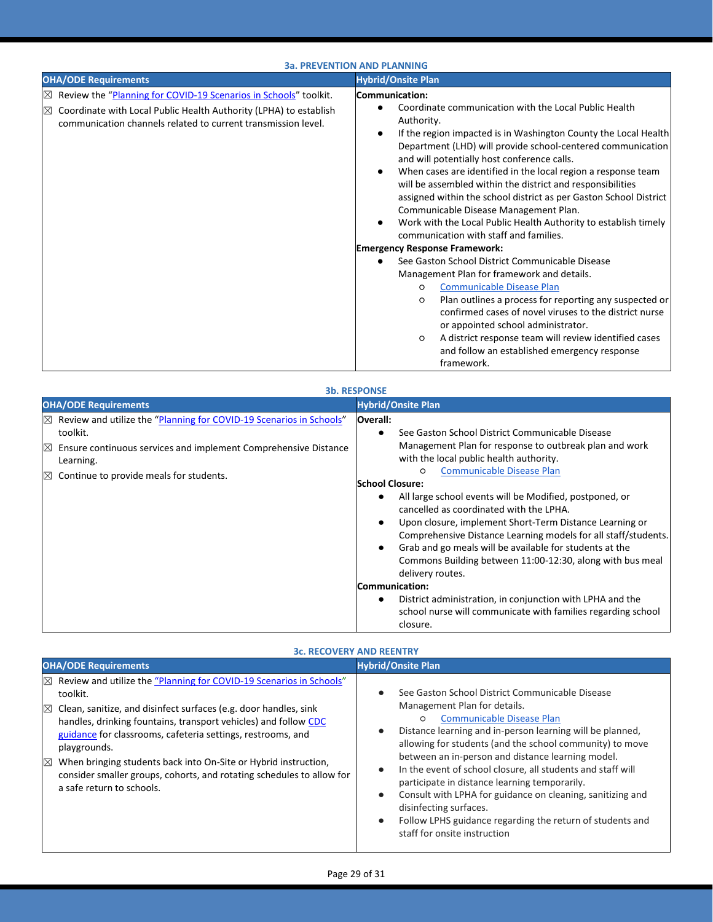## **3a. PREVENTION AND PLANNING**

| <b>OHA/ODE Requirements</b>                                                                                                                       | <b>Hybrid/Onsite Plan</b>                                                                                                                                                                                                                                                                                                                                                                                                                                                                                                                                                                                                                              |
|---------------------------------------------------------------------------------------------------------------------------------------------------|--------------------------------------------------------------------------------------------------------------------------------------------------------------------------------------------------------------------------------------------------------------------------------------------------------------------------------------------------------------------------------------------------------------------------------------------------------------------------------------------------------------------------------------------------------------------------------------------------------------------------------------------------------|
| Review the "Planning for COVID-19 Scenarios in Schools" toolkit.<br>$\times$                                                                      | Communication:                                                                                                                                                                                                                                                                                                                                                                                                                                                                                                                                                                                                                                         |
| Coordinate with Local Public Health Authority (LPHA) to establish<br>$\boxtimes$<br>communication channels related to current transmission level. | Coordinate communication with the Local Public Health<br>Authority.<br>If the region impacted is in Washington County the Local Health<br>Department (LHD) will provide school-centered communication<br>and will potentially host conference calls.<br>When cases are identified in the local region a response team<br>will be assembled within the district and responsibilities<br>assigned within the school district as per Gaston School District<br>Communicable Disease Management Plan.<br>Work with the Local Public Health Authority to establish timely<br>communication with staff and families.<br><b>Emergency Response Framework:</b> |
|                                                                                                                                                   | See Gaston School District Communicable Disease                                                                                                                                                                                                                                                                                                                                                                                                                                                                                                                                                                                                        |
|                                                                                                                                                   | Management Plan for framework and details.                                                                                                                                                                                                                                                                                                                                                                                                                                                                                                                                                                                                             |
|                                                                                                                                                   | <b>Communicable Disease Plan</b><br>$\circ$                                                                                                                                                                                                                                                                                                                                                                                                                                                                                                                                                                                                            |
|                                                                                                                                                   | Plan outlines a process for reporting any suspected or<br>$\circ$<br>confirmed cases of novel viruses to the district nurse<br>or appointed school administrator.                                                                                                                                                                                                                                                                                                                                                                                                                                                                                      |
|                                                                                                                                                   | A district response team will review identified cases<br>$\circ$<br>and follow an established emergency response<br>framework.                                                                                                                                                                                                                                                                                                                                                                                                                                                                                                                         |

| <b>3b. RESPONSE</b>                                                                                                                                                                                                                       |                                                                                                                                                                                                                                                                                                                                                                                                                                                                                                                                                                                                                                                           |
|-------------------------------------------------------------------------------------------------------------------------------------------------------------------------------------------------------------------------------------------|-----------------------------------------------------------------------------------------------------------------------------------------------------------------------------------------------------------------------------------------------------------------------------------------------------------------------------------------------------------------------------------------------------------------------------------------------------------------------------------------------------------------------------------------------------------------------------------------------------------------------------------------------------------|
| <b>OHA/ODE Requirements</b>                                                                                                                                                                                                               | <b>Hybrid/Onsite Plan</b>                                                                                                                                                                                                                                                                                                                                                                                                                                                                                                                                                                                                                                 |
| Review and utilize the "Planning for COVID-19 Scenarios in Schools"<br>$\times$<br>toolkit.<br>Ensure continuous services and implement Comprehensive Distance<br>IX<br>Learning.<br>Continue to provide meals for students.<br>$\bowtie$ | <b>Overall:</b><br>See Gaston School District Communicable Disease<br>$\bullet$<br>Management Plan for response to outbreak plan and work<br>with the local public health authority.<br><b>Communicable Disease Plan</b><br>$\circ$<br><b>School Closure:</b><br>All large school events will be Modified, postponed, or<br>cancelled as coordinated with the LPHA.<br>Upon closure, implement Short-Term Distance Learning or<br>Comprehensive Distance Learning models for all staff/students.<br>Grab and go meals will be available for students at the<br>$\bullet$<br>Commons Building between 11:00-12:30, along with bus meal<br>delivery routes. |
|                                                                                                                                                                                                                                           | Communication:                                                                                                                                                                                                                                                                                                                                                                                                                                                                                                                                                                                                                                            |
|                                                                                                                                                                                                                                           | District administration, in conjunction with LPHA and the<br>٠<br>school nurse will communicate with families regarding school<br>closure.                                                                                                                                                                                                                                                                                                                                                                                                                                                                                                                |

## **3c. RECOVERY AND REENTRY**

| <b>OHA/ODE Requirements</b>                                                                                                                                                                                                                                                                                                                                                                                                                                                                                           | <b>Hybrid/Onsite Plan</b>                                                                                                                                                                                                                                                                                                                                                                                                                                                                                                                                                                                                                                                    |
|-----------------------------------------------------------------------------------------------------------------------------------------------------------------------------------------------------------------------------------------------------------------------------------------------------------------------------------------------------------------------------------------------------------------------------------------------------------------------------------------------------------------------|------------------------------------------------------------------------------------------------------------------------------------------------------------------------------------------------------------------------------------------------------------------------------------------------------------------------------------------------------------------------------------------------------------------------------------------------------------------------------------------------------------------------------------------------------------------------------------------------------------------------------------------------------------------------------|
| $\boxtimes$ Review and utilize the "Planning for COVID-19 Scenarios in Schools"<br>toolkit.<br>Clean, sanitize, and disinfect surfaces (e.g. door handles, sink<br>$\boxtimes$<br>handles, drinking fountains, transport vehicles) and follow CDC<br>guidance for classrooms, cafeteria settings, restrooms, and<br>playgrounds.<br>When bringing students back into On-Site or Hybrid instruction,<br>$\times$<br>consider smaller groups, cohorts, and rotating schedules to allow for<br>a safe return to schools. | See Gaston School District Communicable Disease<br>$\bullet$<br>Management Plan for details.<br><b>Communicable Disease Plan</b><br>O<br>Distance learning and in-person learning will be planned,<br>$\bullet$<br>allowing for students (and the school community) to move<br>between an in-person and distance learning model.<br>In the event of school closure, all students and staff will<br>$\bullet$<br>participate in distance learning temporarily.<br>Consult with LPHA for guidance on cleaning, sanitizing and<br>$\bullet$<br>disinfecting surfaces.<br>Follow LPHS guidance regarding the return of students and<br>$\bullet$<br>staff for onsite instruction |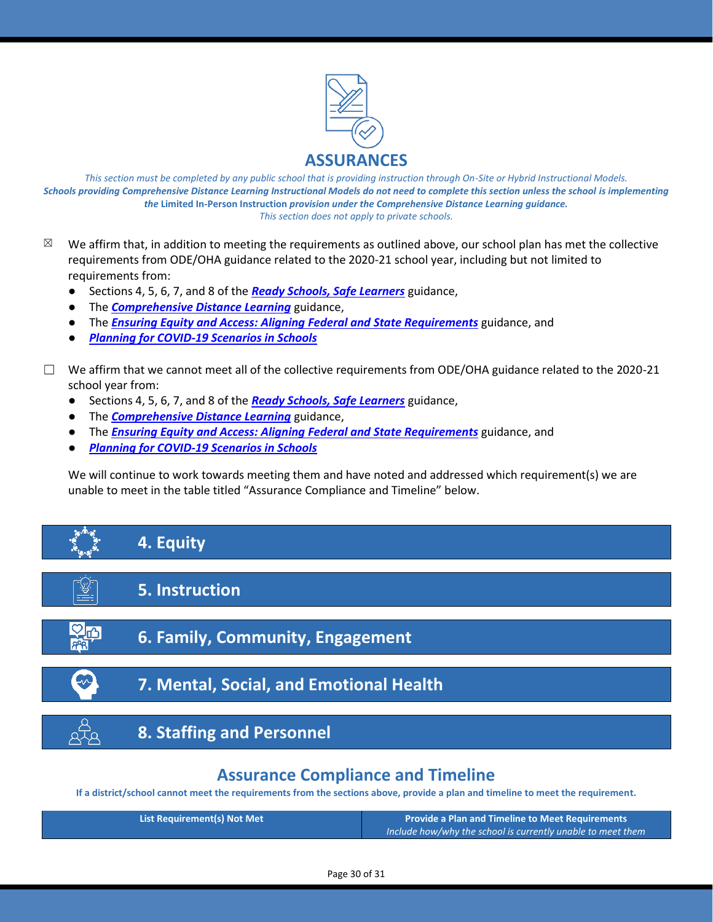

*This section must be completed by any public school that is providing instruction through On-Site or Hybrid Instructional Models. Schools providing Comprehensive Distance Learning Instructional Models do not need to complete this section unless the school is implementing the* **Limited In-Person Instruction** *provision under the Comprehensive Distance Learning guidance. This section does not apply to private schools.*

- $\boxtimes$  We affirm that, in addition to meeting the requirements as outlined above, our school plan has met the collective requirements from ODE/OHA guidance related to the 2020-21 school year, including but not limited to requirements from:
	- Sections 4, 5, 6, 7, and 8 of the *[Ready Schools, Safe Learners](https://www.oregon.gov/ode/students-and-family/healthsafety/Documents/Ready%20Schools%20Safe%20Learners%202020-21%20Guidance.pdf)* guidance,
	- The *[Comprehensive Distance Learning](https://www.oregon.gov/ode/educator-resources/standards/Pages/Comprehensive-Distance-Learning.aspx)* guidance,
	- The *[Ensuring Equity and Access: Aligning Federal and State Requirements](https://www.oregon.gov/ode/students-and-family/healthsafety/Documents/Ensuring%20Equity%20and%20Access%20Aligning%20State%20and%20Federal%20Requirements.pdf)* guidance, and
	- *[Planning for COVID-19 Scenarios in Schools](https://www.oregon.gov/ode/students-and-family/healthsafety/Documents/Planning%20and%20Responding%20to%20COVID-19%20Scenarios%20in%20Schools%20August%202020.pdf)*
- $\Box$  We affirm that we cannot meet all of the collective requirements from ODE/OHA guidance related to the 2020-21 school year from:
	- Sections 4, 5, 6, 7, and 8 of the *[Ready Schools, Safe Learners](https://www.oregon.gov/ode/students-and-family/healthsafety/Documents/Ready%20Schools%20Safe%20Learners%202020-21%20Guidance.pdf)* guidance,
	- The *[Comprehensive Distance Learning](https://www.oregon.gov/ode/educator-resources/standards/Pages/Comprehensive-Distance-Learning.aspx)* guidance,
	- The *[Ensuring Equity and Access: Aligning Federal and State Requirements](https://www.oregon.gov/ode/students-and-family/healthsafety/Documents/Ensuring%20Equity%20and%20Access%20Aligning%20State%20and%20Federal%20Requirements.pdf)* guidance, and
	- *[Planning for COVID-19 Scenarios in Schools](https://www.oregon.gov/ode/students-and-family/healthsafety/Documents/Planning%20and%20Responding%20to%20COVID-19%20Scenarios%20in%20Schools%20August%202020.pdf)*

We will continue to work towards meeting them and have noted and addressed which requirement(s) we are unable to meet in the table titled "Assurance Compliance and Timeline" below.



## **Assurance Compliance and Timeline**

**If a district/school cannot meet the requirements from the sections above, provide a plan and timeline to meet the requirement.**

| <b>List Requirement(s) Not Met</b> | <b>Provide a Plan and Timeline to Meet Requirements</b>     |
|------------------------------------|-------------------------------------------------------------|
|                                    | Include how/why the school is currently unable to meet them |